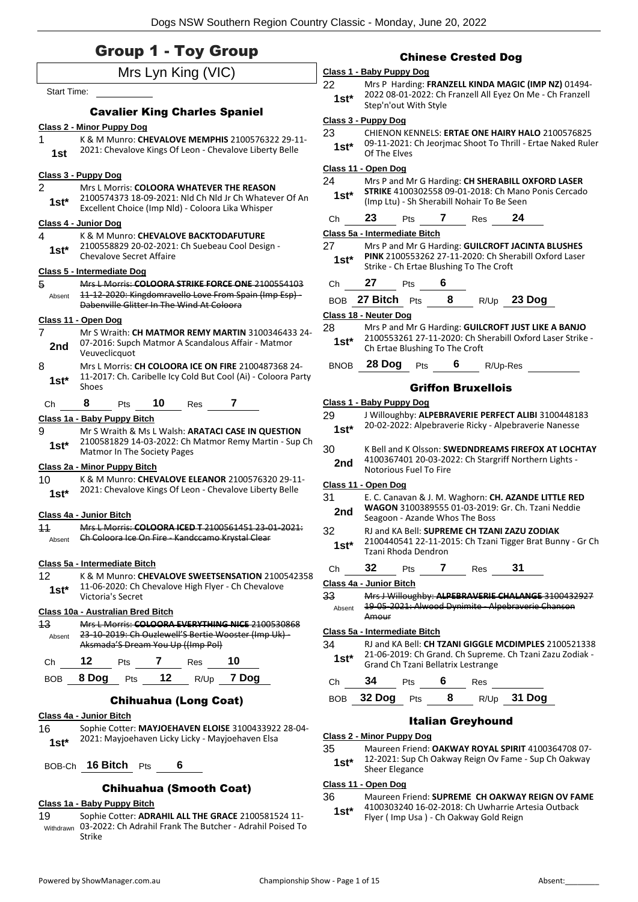### Group 1 - Toy Group

|                    |                                                                                                             |                     |                                                            | curnese        |  |
|--------------------|-------------------------------------------------------------------------------------------------------------|---------------------|------------------------------------------------------------|----------------|--|
|                    | Mrs Lyn King (VIC)                                                                                          |                     | Class 1 - Baby Puppy Dog                                   |                |  |
| <b>Start Time:</b> |                                                                                                             | 22                  | Mrs P Harding: FRAM                                        |                |  |
|                    |                                                                                                             | 1st*                | 2022 08-01-2022: Ch<br>Step'n'out With Style               |                |  |
|                    | <b>Cavalier King Charles Spaniel</b>                                                                        |                     | Class 3 - Puppy Dog                                        |                |  |
| 1                  | <b>Class 2 - Minor Puppy Dog</b>                                                                            | 23                  | <b>CHIENON KENNELS: E</b>                                  |                |  |
| 1st                | K & M Munro: CHEVALOVE MEMPHIS 2100576322 29-11-<br>2021: Chevalove Kings Of Leon - Chevalove Liberty Belle | $1st*$              | 09-11-2021: Ch Jeorji<br>Of The Elves                      |                |  |
|                    | Class 3 - Puppy Dog                                                                                         |                     | Class 11 - Open Dog                                        |                |  |
| 2                  | Mrs L Morris: COLOORA WHATEVER THE REASON                                                                   | 24                  | Mrs P and Mr G Hard                                        |                |  |
| $1st^*$            | 2100574373 18-09-2021: Nld Ch Nld Jr Ch Whatever Of An<br>Excellent Choice (Imp Nld) - Coloora Lika Whisper | 1st*                | <b>STRIKE 41003025581</b><br>(Imp Ltu) - Sh Sherab         |                |  |
|                    | Class 4 - Junior Dog                                                                                        | Сh                  | 23                                                         | 7<br>Pts       |  |
| 4                  | K & M Munro: CHEVALOVE BACKTODAFUTURE                                                                       |                     | Class 5a - Intermediate Bitch                              |                |  |
| $1st^*$            | 2100558829 20-02-2021: Ch Suebeau Cool Design -                                                             | 27                  | Mrs P and Mr G Hard                                        |                |  |
|                    | <b>Chevalove Secret Affaire</b>                                                                             | $1st^*$             | PINK 2100553262 27<br>Strike - Ch Ertae Blus               |                |  |
|                    | Class 5 - Intermediate Dog                                                                                  |                     | 27                                                         | - 6            |  |
| 5<br>Absent        | Mrs L Morris: COLOORA STRIKE FORCE ONE 2100554103<br>11-12-2020: Kingdomravello Love From Spain (Imp Esp) - | Сh                  |                                                            | Pts            |  |
|                    | Dabenville Glitter In The Wind At Coloora                                                                   | BOB 27 Bitch<br>Pts |                                                            |                |  |
|                    | Class 11 - Open Dog                                                                                         |                     | Class 18 - Neuter Dog                                      |                |  |
| 7                  | Mr S Wraith: CH MATMOR REMY MARTIN 3100346433 24-                                                           | 28                  | Mrs P and Mr G Hard                                        |                |  |
| 2nd                | 07-2016: Supch Matmor A Scandalous Affair - Matmor<br>Veuveclicquot                                         | $1st^*$             | 2100553261 27-11-2<br>Ch Ertae Blushing To                 |                |  |
| 8                  | Mrs L Morris: CH COLOORA ICE ON FIRE 2100487368 24-                                                         | <b>BNOB</b>         | 28 Dog                                                     | Pts            |  |
| $1st^*$            | 11-2017: Ch. Caribelle Icy Cold But Cool (Ai) - Coloora Party<br>Shoes                                      |                     |                                                            | Griffor        |  |
| Ch                 | 10<br>8<br>7<br>Pts<br>Res                                                                                  |                     | Class 1 - Baby Puppy Dog                                   |                |  |
|                    | Class 1a - Baby Puppy Bitch                                                                                 | 29                  | J Willoughby: ALPEBI                                       |                |  |
| 9                  | Mr S Wraith & Ms L Walsh: <b>ARATACI CASE IN QUESTION</b>                                                   | $1st*$              | 20-02-2022: Alpebray                                       |                |  |
| $1st^*$            | 2100581829 14-03-2022: Ch Matmor Remy Martin - Sup Ch                                                       | 30                  | K Bell and K Olsson: S                                     |                |  |
|                    | Matmor In The Society Pages                                                                                 |                     | 4100367401 20-03-2                                         |                |  |
|                    | Class 2a - Minor Puppy Bitch                                                                                | 2nd                 | Notorious Fuel To Fir                                      |                |  |
| 10                 | K & M Munro: CHEVALOVE ELEANOR 2100576320 29-11-                                                            |                     | Class 11 - Open Dog                                        |                |  |
| $1st*$             | 2021: Chevalove Kings Of Leon - Chevalove Liberty Belle                                                     | 31                  | E. C. Canavan & J. M.                                      |                |  |
|                    |                                                                                                             | 2nd                 | <b>WAGON 3100389555</b>                                    |                |  |
| 11                 | <b>Class 4a - Junior Bitch</b><br>Mrs L Morris: COLOORA ICED T 2100561451 23 01 2021:                       |                     | Seagoon - Azande Wl                                        |                |  |
| Absent             | Ch Coloora Ice On Fire Kandccamo Krystal Clear                                                              | 32                  | RJ and KA Bell: SUPRI<br>2100440541 22-11-2                |                |  |
|                    |                                                                                                             | 1st*                | Tzani Rhoda Dendror                                        |                |  |
|                    | Class 5a - Intermediate Bitch                                                                               | Ch                  | 32                                                         | 7<br>Pts       |  |
| 12 <sup>2</sup>    | K & M Munro: CHEVALOVE SWEETSENSATION 2100542358                                                            |                     | Class 4a - Junior Bitch                                    |                |  |
| 1st*               | 11-06-2020: Ch Chevalove High Flyer - Ch Chevalove<br>Victoria's Secret                                     | 33                  | Mrs J Willoughby: AL                                       |                |  |
|                    |                                                                                                             | Absent              | 19 05 2021: Alwood                                         |                |  |
| 13 <sup>°</sup>    | Class 10a - Australian Bred Bitch<br>Mrs L Morris: COLOORA EVERYTHING NICE 2100530868                       |                     | Amour                                                      |                |  |
| Absent             | 23 10 2019: Ch Ouzlewell'S Bertie Wooster (Imp Uk)-                                                         |                     | Class 5a - Intermediate Bitch                              |                |  |
|                    | Aksmada'S Dream You Up ((Imp Pol)                                                                           | 34                  | RJ and KA Bell: CH TZ                                      |                |  |
| Ch                 | 12<br>Pts 7 Res<br>10                                                                                       | 1st*                | 21-06-2019: Ch Gran<br><b>Grand Ch Tzani Bellat</b>        |                |  |
| BOB                | 8 Dog Pts 12 R/Up 7 Dog                                                                                     | Ch                  | 34                                                         | - 6<br>Pts     |  |
|                    | <b>Chihuahua (Long Coat)</b>                                                                                |                     | BOB 32 Dog                                                 | Pts            |  |
|                    | Class 4a - Junior Bitch                                                                                     |                     |                                                            | <b>Italian</b> |  |
| 16                 | Sophie Cotter: MAYJOEHAVEN ELOISE 3100433922 28-04-                                                         |                     |                                                            |                |  |
| $1st^*$            | 2021: Mayjoehaven Licky Licky - Mayjoehaven Elsa                                                            |                     | <b>Class 2 - Minor Puppy Dog</b><br>25 Mouroon Friends OAL |                |  |
|                    |                                                                                                             |                     |                                                            |                |  |

BOB-Ch **16 Bitch** Pts **6**

#### Chihuahua (Smooth Coat)

#### **Class 1a - Baby Puppy Bitch**

19 Sophie Cotter: **ADRAHIL ALL THE GRACE** 2100581524 11- 03-2022: Ch Adrahil Frank The Butcher - Adrahil Poised To Withdrawn Strike

#### Chinese Crested Dog

- **NZELL KINDA MAGIC (IMP NZ) 01494-**Franzell All Eyez On Me - Ch Franzell
- **ERTAE ONE HAIRY HALO** 2100576825 mac Shoot To Thrill - Ertae Naked Ruler
- **24 Mrs P And Mrs P And Mrs P And Mrs P And Mrs P And Mrs P And Mrs P And Mrs P And Mrs P And Mrs P And Mrs P A** 09-01-2018: Ch Mano Ponis Cercado  $\ddot{\text{all}}$  Nohair To Be Seen

#### **24** Res 24

- **27 Mrs / GUILCROFT JACINTA BLUSHES PINK** 2100553262 27-11-2020: Ch Sherabill Oxford Laser
	- hing To The Croft

- BOB **27 Bitch** Pts **8** R/Up **23 Dog**
- ling: **GUILCROFT JUST LIKE A BANJO** 020: Ch Sherabill Oxford Laser Strike -
- The Croft

#### **6** R/Up-Res

#### **Bruxellois**

| Class 1 - Baby Puppy Dog      |                                                                                                                                             |     |                                    |     |                                                          |  |  |  |
|-------------------------------|---------------------------------------------------------------------------------------------------------------------------------------------|-----|------------------------------------|-----|----------------------------------------------------------|--|--|--|
| 29                            |                                                                                                                                             |     |                                    |     | J Willoughby: ALPEBRAVERIE PERFECT ALIBI 3100448183      |  |  |  |
| $1st^*$                       | 20-02-2022: Alpebraverie Ricky - Alpebraverie Nanesse                                                                                       |     |                                    |     |                                                          |  |  |  |
| 30<br>2nd                     | K Bell and K Olsson: SWEDNDREAMS FIREFOX AT LOCHTAY<br>4100367401 20-03-2022: Ch Stargriff Northern Lights -<br>Notorious Fuel To Fire      |     |                                    |     |                                                          |  |  |  |
| Class 11 - Open Dog           |                                                                                                                                             |     |                                    |     |                                                          |  |  |  |
| 31<br>2nd                     | E. C. Canavan & J. M. Waghorn: CH. AZANDE LITTLE RED<br>WAGON 3100389555 01-03-2019: Gr. Ch. Tzani Neddie<br>Seagoon - Azande Whos The Boss |     |                                    |     |                                                          |  |  |  |
| 32<br>$1st^*$                 | RJ and KA Bell: SUPREME CH TZANI ZAZU ZODIAK<br>2100440541 22-11-2015: Ch Tzani Tigger Brat Bunny - Gr Ch<br>Tzani Rhoda Dendron            |     |                                    |     |                                                          |  |  |  |
| Сh                            | 32                                                                                                                                          | Pts | 7                                  | Res | 31                                                       |  |  |  |
| Class 4a - Junior Bitch       |                                                                                                                                             |     |                                    |     |                                                          |  |  |  |
| 33                            |                                                                                                                                             |     |                                    |     | Mrs J Willoughby: ALPEBRAVERIE CHALANGE 3100432927       |  |  |  |
| Absent                        | Amour                                                                                                                                       |     |                                    |     | 19 05 2021: Alwood Dynimite Alpebraverie Chanson         |  |  |  |
| Class 5a - Intermediate Bitch |                                                                                                                                             |     |                                    |     |                                                          |  |  |  |
| 34                            |                                                                                                                                             |     |                                    |     | RJ and KA Bell: CH TZANI GIGGLE MCDIMPLES 2100521338     |  |  |  |
| 1st*                          |                                                                                                                                             |     | Grand Ch Tzani Bellatrix Lestrange |     | 21-06-2019: Ch Grand. Ch Supreme. Ch Tzani Zazu Zodiak - |  |  |  |
| Сh                            | 34                                                                                                                                          | Pts | 6                                  | Res |                                                          |  |  |  |

| BOB 32 Dog Pts |  |  |  | R/Up 31 Dog |
|----------------|--|--|--|-------------|
|----------------|--|--|--|-------------|

#### Greyhound

35 Maureen Friend: **OAKWAY ROYAL SPIRIT** 4100364708 07-

12-2021: Sup Ch Oakway Reign Ov Fame - Sup Ch Oakway **1st**\* 12-2021: Sup Cl<br>Sheer Elegance

#### **Class 11 - Open Dog**

#### 36 Maureen Friend: **SUPREME CH OAKWAY REIGN OV FAME**

4100303240 16-02-2018: Ch Uwharrie Artesia Outback Flyer ( Imp Usa ) - Ch Oakway Gold Reign **1st\***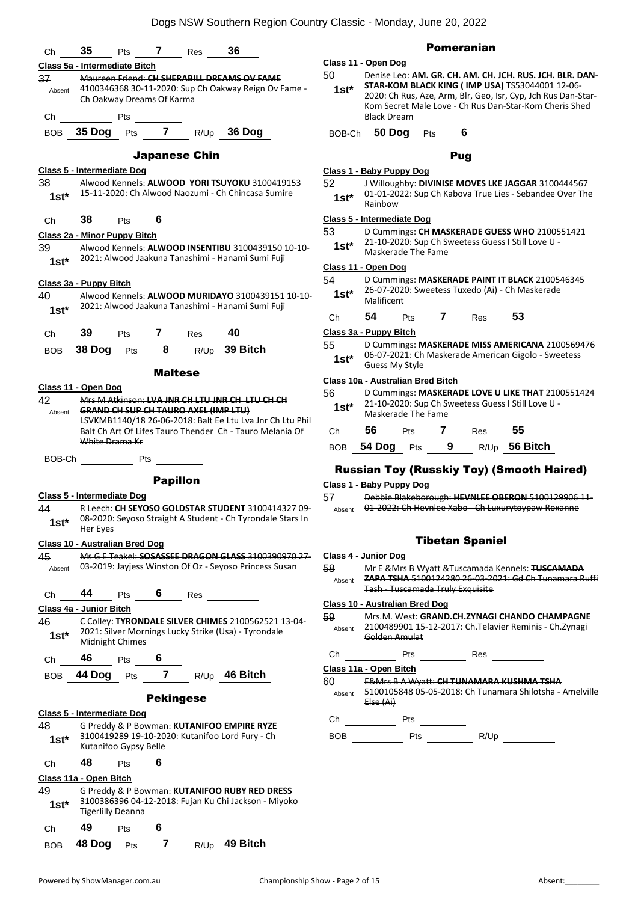

#### Pomeranian

### **Class 11 - Open Dog**

50 Denise Leo: **AM. GR. CH. AM. CH. JCH. RUS. JCH. BLR. DAN-STAR-KOM BLACK KING ( IMP USA)** TS53044001 12-06- 2020: Ch Rus, Aze, Arm, Blr, Geo, Isr, Cyp, Jch Rus Dan-Star-Kom Secret Male Love - Ch Rus Dan-Star-Kom Cheris Shed Black Dream **1st\***

BOB-Ch **50 Dog** Pts **6**

### Pug

#### **Class 1 - Baby Puppy Dog**

52 J Willoughby: **DIVINISE MOVES LKE JAGGAR** 3100444567 01-01-2022: Sup Ch Kabova True Lies - Sebandee Over The 1st<sup>\*</sup> <sup>Ul-Ul-ZU</sup><br>Rainbow

#### **Class 5 - Intermediate Dog**

- 53 D Cummings: **CH MASKERADE GUESS WHO** 2100551421
- 21-10-2020: Sup Ch Sweetess Guess I Still Love U Maskerade The Fame **1st\***

#### **Class 11 - Open Dog**

54 D Cummings: **MASKERADE PAINT IT BLACK** 2100546345 26-07-2020: Sweetess Tuxedo (Ai) - Ch Maskerade Malificent **1st\***

Ch **54** Pts **7** Res **53**

#### **Class 3a - Puppy Bitch**

55 D Cummings: **MASKERADE MISS AMERICANA** 2100569476 06-07-2021: Ch Maskerade American Gigolo - Sweetess 1st<sup>\*</sup> Up-UZ-ZUZI: Un<br>Guess My Style

#### **Class 10a - Australian Bred Bitch**

| 56     | D Cummings: MASKERADE LOVE U LIKE THAT 2100551424  |
|--------|----------------------------------------------------|
| $1st*$ | 21-10-2020: Sup Ch Sweetess Guess I Still Love U - |
|        | Maskerade The Fame                                 |

| Ch 56 Pts 7 Res 55 |  |                                |
|--------------------|--|--------------------------------|
|                    |  | BOB 54 Dog Pts 9 R/Up 56 Bitch |

#### Russian Toy (Russkiy Toy) (Smooth Haired)

#### **Class 1 - Baby Puppy Dog**

57 Debbie Blakeborough: **HEVNLEE OBERON** 5100129906 11- Absent 01-2022: Ch Hevnlee Xabo - Ch Luxurytoypaw Roxanne

#### Tibetan Spaniel

#### **Class 4 - Junior Dog**

58 Mr E &Mrs B Wyatt &Tuscamada Kennels: **TUSCAMADA ZAPA TSHA** 5100124280 26-03-2021: Gd Ch Tunamara Ruffi Tash - Tuscamada Truly Exquisite Absent

#### **Class 10 - Australian Bred Dog**

59 Mrs.M. West: **GRAND.CH.ZYNAGI CHANDO CHAMPAGNE** 2100489901 15-12-2017: Ch.Telavier Reminis - Ch.Zynagi Golden Amulat Absent

#### Ch Pts Res

**Class 11a - Open Bitch**

60 E&Mrs B A Wyatt: **CH TUNAMARA KUSHMA TSHA** 5100105848 05-05-2018: Ch Tunamara Shilotsha - Amelville

Else (Ai) Absent

Ch Pts

BOB Pts R/Up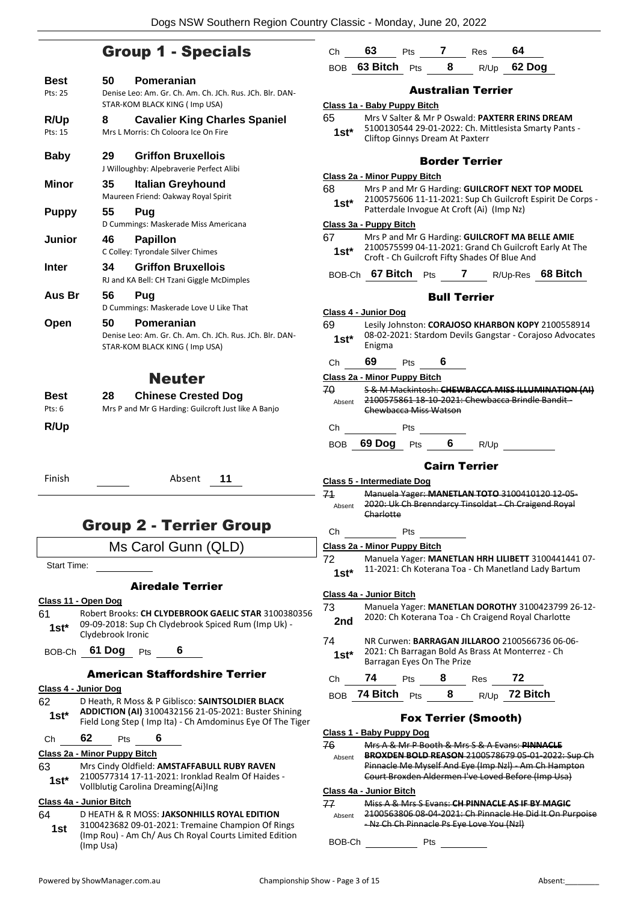### Group 1 - Specials

|                             |                                                                                                            |              | BOB 63 Bitch Pts             |     | 8                               | R/Up                                                                                           | 62 Dog   |  |
|-----------------------------|------------------------------------------------------------------------------------------------------------|--------------|------------------------------|-----|---------------------------------|------------------------------------------------------------------------------------------------|----------|--|
| Best                        | 50<br>Pomeranian                                                                                           |              |                              |     |                                 |                                                                                                |          |  |
| Pts: 25                     | Denise Leo: Am. Gr. Ch. Am. Ch. JCh. Rus. JCh. Blr. DAN-                                                   |              |                              |     |                                 | <b>Australian Terrier</b>                                                                      |          |  |
|                             | STAR-KOM BLACK KING (Imp USA)                                                                              |              | Class 1a - Baby Puppy Bitch  |     |                                 |                                                                                                |          |  |
| R/Up                        | <b>Cavalier King Charles Spaniel</b><br>8                                                                  | 65           |                              |     |                                 | Mrs V Salter & Mr P Oswald: PAXTERR ERINS DF                                                   |          |  |
| Pts: 15                     | Mrs L Morris: Ch Coloora Ice On Fire                                                                       | $1st*$       |                              |     | Cliftop Ginnys Dream At Paxterr | 5100130544 29-01-2022: Ch. Mittlesista Smarty                                                  |          |  |
| <b>Baby</b>                 | 29<br><b>Griffon Bruxellois</b><br>J Willoughby: Alpebraverie Perfect Alibi                                |              |                              |     |                                 | <b>Border Terrier</b>                                                                          |          |  |
|                             |                                                                                                            |              | Class 2a - Minor Puppy Bitch |     |                                 |                                                                                                |          |  |
| Minor                       | 35<br><b>Italian Greyhound</b>                                                                             | 68           |                              |     |                                 | Mrs P and Mr G Harding: GUILCROFT NEXT TOP                                                     |          |  |
|                             | Maureen Friend: Oakway Royal Spirit                                                                        | $1st*$       |                              |     |                                 | 2100575606 11-11-2021: Sup Ch Guilcroft Espiri                                                 |          |  |
| <b>Puppy</b>                | 55<br>Pug                                                                                                  |              |                              |     |                                 | Patterdale Invogue At Croft (Ai) (Imp Nz)                                                      |          |  |
|                             | D Cummings: Maskerade Miss Americana                                                                       |              | Class 3a - Puppy Bitch       |     |                                 |                                                                                                |          |  |
| Junior                      | 46<br><b>Papillon</b>                                                                                      | 67           |                              |     |                                 | Mrs P and Mr G Harding: GUILCROFT MA BELLE<br>2100575599 04-11-2021: Grand Ch Guilcroft Ear    |          |  |
|                             | C Colley: Tyrondale Silver Chimes                                                                          | $1st*$       |                              |     |                                 | Croft - Ch Guilcroft Fifty Shades Of Blue And                                                  |          |  |
| <b>Inter</b>                | <b>Griffon Bruxellois</b><br>34                                                                            |              |                              |     |                                 | BOB-Ch 67 Bitch Pts 7 R/Up-Res 68                                                              |          |  |
|                             | RJ and KA Bell: CH Tzani Giggle McDimples                                                                  |              |                              |     |                                 |                                                                                                |          |  |
| Aus Br                      | 56<br>Pug                                                                                                  |              |                              |     |                                 | <b>Bull Terrier</b>                                                                            |          |  |
|                             | D Cummings: Maskerade Love U Like That                                                                     |              | Class 4 - Junior Dog         |     |                                 |                                                                                                |          |  |
| Open                        | 50<br>Pomeranian                                                                                           | 69           |                              |     |                                 | Lesily Johnston: CORAJOSO KHARBON KOPY 21                                                      |          |  |
|                             | Denise Leo: Am. Gr. Ch. Am. Ch. JCh. Rus. JCh. Blr. DAN-                                                   | $1st*$       |                              |     |                                 | 08-02-2021: Stardom Devils Gangstar - Corajoso                                                 |          |  |
|                             | STAR-KOM BLACK KING (Imp USA)                                                                              |              | Enigma                       |     |                                 |                                                                                                |          |  |
|                             |                                                                                                            | Ch           | 69                           | Pts | 6                               |                                                                                                |          |  |
|                             | <b>Neuter</b>                                                                                              |              | Class 2a - Minor Puppy Bitch |     |                                 |                                                                                                |          |  |
| Best                        | <b>Chinese Crested Dog</b><br>28                                                                           | 70           |                              |     |                                 | <b>S &amp; M Mackintosh: CHEWBACCA MISS ILLUMIN</b>                                            |          |  |
| Pts: 6                      | Mrs P and Mr G Harding: Guilcroft Just like A Banjo                                                        | Absent       |                              |     | Chewbacca Miss Watson           | 2100575861 18 10 2021: Chewbacca Brindle Ba                                                    |          |  |
| R/Up                        |                                                                                                            | Ch           |                              | Pts |                                 |                                                                                                |          |  |
|                             |                                                                                                            | <b>BOB</b>   | 69 Dog Pts                   |     | 6                               | R/Up                                                                                           |          |  |
|                             |                                                                                                            |              |                              |     |                                 |                                                                                                |          |  |
|                             |                                                                                                            |              |                              |     |                                 | <b>Cairn Terrier</b>                                                                           |          |  |
| Finish                      | Absent<br>11                                                                                               |              | Class 5 - Intermediate Dog   |     |                                 |                                                                                                |          |  |
|                             |                                                                                                            | 71           |                              |     |                                 | Manuela Yager: MANETLAN TOTO 3100410120                                                        |          |  |
|                             |                                                                                                            | Absent       | Charlotte                    |     |                                 | 2020: Uk Ch Brenndarcy Tinsoldat - Ch Craigend                                                 |          |  |
|                             | <b>Group 2 - Terrier Group</b>                                                                             |              |                              |     |                                 |                                                                                                |          |  |
|                             |                                                                                                            | Ch           |                              | Pts |                                 |                                                                                                |          |  |
|                             | Ms Carol Gunn (QLD)                                                                                        |              | Class 2a - Minor Puppy Bitch |     |                                 |                                                                                                |          |  |
| Start Time:                 |                                                                                                            | 72           |                              |     |                                 | Manuela Yager: MANETLAN HRH LILIBETT 3100<br>11-2021: Ch Koterana Toa - Ch Manetland Lady      |          |  |
|                             |                                                                                                            | $1st*$       |                              |     |                                 |                                                                                                |          |  |
|                             | <b>Airedale Terrier</b>                                                                                    |              | Class 4a - Junior Bitch      |     |                                 |                                                                                                |          |  |
| <u>Class 11 - Open Dog</u>  |                                                                                                            | 73           |                              |     |                                 | Manuela Yager: MANETLAN DOROTHY 3100423                                                        |          |  |
| 61                          | Robert Brooks: CH CLYDEBROOK GAELIC STAR 3100380356<br>09-09-2018: Sup Ch Clydebrook Spiced Rum (Imp Uk) - | 2nd          |                              |     |                                 | 2020: Ch Koterana Toa - Ch Craigend Royal Char                                                 |          |  |
| $1st*$                      | Clydebrook Ironic                                                                                          |              |                              |     |                                 |                                                                                                |          |  |
|                             | BOB-Ch 61 Dog<br>6<br>Pts                                                                                  | 74           |                              |     |                                 | NR Curwen: BARRAGAN JILLAROO 2100566736<br>2021: Ch Barragan Bold As Brass At Monterrez -      |          |  |
|                             |                                                                                                            | $1st^*$      |                              |     | Barragan Eyes On The Prize      |                                                                                                |          |  |
|                             | <b>American Staffordshire Terrier</b>                                                                      | Ch           | 74                           | Pts | 8                               | Res                                                                                            | 72       |  |
| <b>Class 4 - Junior Dog</b> |                                                                                                            |              | BOB 74 Bitch Pts             |     | 8                               | R/Up                                                                                           | 72 Bitch |  |
| 62<br>$1st*$                | D Heath, R Moss & P Giblisco: SAINTSOLDIER BLACK<br>ADDICTION (AI) 3100432156 21-05-2021: Buster Shining   |              |                              |     |                                 | <b>Fox Terrier (Smooth)</b>                                                                    |          |  |
|                             | Field Long Step (Imp Ita) - Ch Amdominus Eye Of The Tiger                                                  |              | Class 1 - Baby Puppy Dog     |     |                                 |                                                                                                |          |  |
| Ch                          | 62<br>6<br>Pts                                                                                             | 76           |                              |     |                                 | Mrs A & Mr P Booth & Mrs S & A Evans: PINNAC                                                   |          |  |
|                             | <b>Class 2a - Minor Puppy Bitch</b>                                                                        | Absent       |                              |     |                                 | <b>BROXDEN BOLD REASON 2100578679 05-01-20</b>                                                 |          |  |
| 63                          | Mrs Cindy Oldfield: AMSTAFFABULL RUBY RAVEN                                                                |              |                              |     |                                 | Pinnacle Me Myself And Eye (Imp Nzl) - Am Ch H                                                 |          |  |
| $1st*$                      | 2100577314 17-11-2021: Ironklad Realm Of Haides -<br>Vollblutig Carolina Dreaming{Ai}Ing                   |              |                              |     |                                 | Court Broxden Aldermen I've Loved Before (Imp                                                  |          |  |
|                             |                                                                                                            |              | Class 4a - Junior Bitch      |     |                                 |                                                                                                |          |  |
| 64                          | <u> Class 4a - Junior Bitch</u><br>D HEATH & R MOSS: JAKSONHILLS ROYAL EDITION                             | 77<br>Absent |                              |     |                                 | Miss A & Mrs S Evans: CH PINNACLE AS IF BY M<br>2100563806 08 04 2021: Ch Pinnacle He Did It ( |          |  |
| 1st                         | 3100423682 09-01-2021: Tremaine Champion Of Rings                                                          |              |                              |     |                                 | - Nz Ch Ch Pinnacle Ps Eye Love You (Nzl)                                                      |          |  |
|                             |                                                                                                            |              |                              |     |                                 |                                                                                                |          |  |

(Imp Rou) - Am Ch/ Aus Ch Royal Courts Limited Edition

|   | 65<br>$1st*$ | Mrs V Salter & Mr P Oswald: PAXTERR ERINS DREAM<br>5100130544 29-01-2022: Ch. Mittlesista Smarty Pants -<br>Cliftop Ginnys Dream At Paxterr |                       |                     |                                                                                                     |                                                          |  |  |  |  |
|---|--------------|---------------------------------------------------------------------------------------------------------------------------------------------|-----------------------|---------------------|-----------------------------------------------------------------------------------------------------|----------------------------------------------------------|--|--|--|--|
|   |              |                                                                                                                                             | <b>Border Terrier</b> |                     |                                                                                                     |                                                          |  |  |  |  |
|   |              | Class 2a - Minor Puppy Bitch                                                                                                                |                       |                     |                                                                                                     |                                                          |  |  |  |  |
|   | 68           | Mrs P and Mr G Harding: GUILCROFT NEXT TOP MODEL                                                                                            |                       |                     |                                                                                                     |                                                          |  |  |  |  |
|   | $1st*$       | 2100575606 11-11-2021: Sup Ch Guilcroft Espirit De Corps -<br>Patterdale Invogue At Croft (Ai) (Imp Nz)                                     |                       |                     |                                                                                                     |                                                          |  |  |  |  |
|   |              | Class 3a - Puppy Bitch                                                                                                                      |                       |                     |                                                                                                     |                                                          |  |  |  |  |
|   | 67<br>1st*   |                                                                                                                                             |                       |                     | Mrs P and Mr G Harding: GUILCROFT MA BELLE AMIE<br>Croft - Ch Guilcroft Fifty Shades Of Blue And    | 2100575599 04-11-2021: Grand Ch Guilcroft Early At The   |  |  |  |  |
|   | BOB-Ch       | 67 Bitch $P$ ts                                                                                                                             |                       | $\mathbf{7}$        |                                                                                                     | R/Up-Res 68 Bitch                                        |  |  |  |  |
|   |              |                                                                                                                                             |                       | <b>Bull Terrier</b> |                                                                                                     |                                                          |  |  |  |  |
|   |              | Class 4 - Junior Dog                                                                                                                        |                       |                     |                                                                                                     |                                                          |  |  |  |  |
|   | 69           |                                                                                                                                             |                       |                     |                                                                                                     | Lesily Johnston: CORAJOSO KHARBON KOPY 2100558914        |  |  |  |  |
|   | $1st*$       | Enigma                                                                                                                                      |                       |                     |                                                                                                     | 08-02-2021: Stardom Devils Gangstar - Corajoso Advocates |  |  |  |  |
|   | Сh           | 69<br><b>Pts</b>                                                                                                                            | 6                     |                     |                                                                                                     |                                                          |  |  |  |  |
|   |              | Class 2a - Minor Puppy Bitch                                                                                                                |                       |                     |                                                                                                     |                                                          |  |  |  |  |
|   | 70.          |                                                                                                                                             |                       |                     |                                                                                                     | S & M Mackintosh: CHEWBACCA MISS ILLUMINATION (AI)       |  |  |  |  |
|   | Absent       | 2100575861 18 10 2021: Chewbacca Brindle Bandit-                                                                                            |                       |                     |                                                                                                     |                                                          |  |  |  |  |
|   |              | Chewbacca Miss Watson                                                                                                                       |                       |                     |                                                                                                     |                                                          |  |  |  |  |
|   | Ch           | Pts                                                                                                                                         |                       |                     |                                                                                                     |                                                          |  |  |  |  |
|   |              |                                                                                                                                             |                       |                     |                                                                                                     |                                                          |  |  |  |  |
|   | BOB.         | 69 Dog Pts                                                                                                                                  | $6\overline{6}$       |                     | R/Up                                                                                                |                                                          |  |  |  |  |
|   |              |                                                                                                                                             | <b>Cairn Terrier</b>  |                     |                                                                                                     |                                                          |  |  |  |  |
|   |              | Class 5 - Intermediate Dog                                                                                                                  |                       |                     |                                                                                                     |                                                          |  |  |  |  |
|   | 71           | Manuela Yager: MANETLAN TOTO 3100410120 12-05-                                                                                              |                       |                     |                                                                                                     |                                                          |  |  |  |  |
|   | Absent       |                                                                                                                                             |                       |                     | 2020: Uk Ch Brenndarcy Tinsoldat - Ch Craigend Royal                                                |                                                          |  |  |  |  |
|   |              | Charlotte                                                                                                                                   |                       |                     |                                                                                                     |                                                          |  |  |  |  |
|   | Ch           | Pts                                                                                                                                         |                       |                     |                                                                                                     |                                                          |  |  |  |  |
|   |              | Class 2a - Minor Puppy Bitch                                                                                                                |                       |                     |                                                                                                     |                                                          |  |  |  |  |
|   | 72           |                                                                                                                                             |                       |                     |                                                                                                     | Manuela Yager: MANETLAN HRH LILIBETT 3100441441 07-      |  |  |  |  |
|   | $1st^*$      |                                                                                                                                             |                       |                     | 11-2021: Ch Koterana Toa - Ch Manetland Lady Bartum                                                 |                                                          |  |  |  |  |
|   |              | Class 4a - Junior Bitch                                                                                                                     |                       |                     |                                                                                                     |                                                          |  |  |  |  |
|   | 73           |                                                                                                                                             |                       |                     |                                                                                                     | Manuela Yager: MANETLAN DOROTHY 3100423799 26-12-        |  |  |  |  |
| 6 | 2nd          |                                                                                                                                             |                       |                     | 2020: Ch Koterana Toa - Ch Craigend Royal Charlotte                                                 |                                                          |  |  |  |  |
|   |              |                                                                                                                                             |                       |                     |                                                                                                     |                                                          |  |  |  |  |
|   | 74           |                                                                                                                                             |                       |                     | NR Curwen: BARRAGAN JILLAROO 2100566736 06-06-<br>2021: Ch Barragan Bold As Brass At Monterrez - Ch |                                                          |  |  |  |  |
|   | $1st*$       | Barragan Eyes On The Prize                                                                                                                  |                       |                     |                                                                                                     |                                                          |  |  |  |  |

Ch **63** Pts **7** Res **64**

| BOB 74 Bitch Pts |  | $R/Up$ 72 Bitch |
|------------------|--|-----------------|
|                  |  |                 |

### Fox Terrier (Smooth)

|              | <u>. VA TULIUI (VIIIVULII)</u>                                                                                                                                                                                           |
|--------------|--------------------------------------------------------------------------------------------------------------------------------------------------------------------------------------------------------------------------|
|              | Class 1 - Baby Puppy Dog                                                                                                                                                                                                 |
| 76<br>Absent | Mrs A & Mr P Booth & Mrs S & A Evans: <b>PINNACLE</b><br>BROXDEN BOLD REASON 2100578679 05-01-2022: Sup Ch<br>Pinnacle Me Myself And Eye (Imp NzI) - Am Ch Hampton<br>Court Broxden Aldermen I've Loved Before (Imp Usa) |
|              | Class 4a - Junior Bitch                                                                                                                                                                                                  |
| 77<br>Absent | Miss A & Mrs S Evans: CH PINNACLE AS IF BY MAGIC<br>2100563806 08 04 2021: Ch Pinnacle He Did It On Purpoise<br><del>- Nz Ch Ch Pinnacle Ps Eye Love You (Nzl)</del>                                                     |

BOB-Ch Pts

(Imp Usa)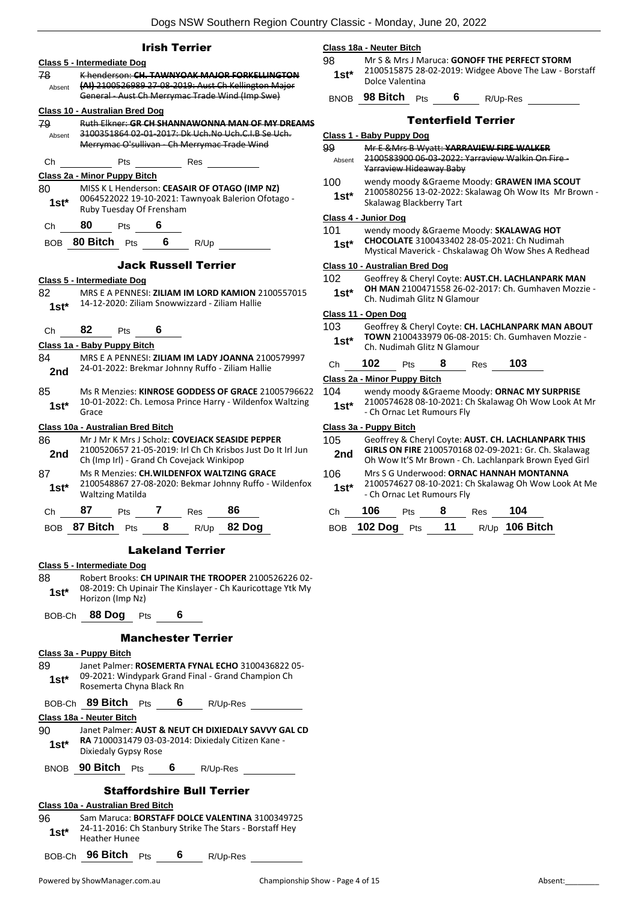|            | <b>Irish Terrier</b>                                                                                           |
|------------|----------------------------------------------------------------------------------------------------------------|
|            | Class 5 - Intermediate Dog                                                                                     |
| 78         | K henderson: CH. TAWNYOAK MAJOR FORKELLINGTON                                                                  |
| Absent     | (AI) 2100526989 27-08-2019: Aust Ch Kellington Major                                                           |
|            | General - Aust Ch Merrymac Trade Wind (Imp Swe)                                                                |
|            | Class 10 - Australian Bred Dog                                                                                 |
| 79         | Ruth Elkner: GR CH SHANNAWONNA MAN OF MY DREAMS                                                                |
| Absent     | 3100351864 02-01-2017: Dk Uch.No Uch.C.I.B Se Uch.                                                             |
|            | Merrymac O'sullivan - Ch Merrymac Trade Wind                                                                   |
| Сh         | Pts<br>Res                                                                                                     |
|            | Class 2a - Minor Puppy Bitch                                                                                   |
| 80         | MISS K L Henderson: CEASAIR OF OTAGO (IMP NZ)                                                                  |
| $1st*$     | 0064522022 19-10-2021: Tawnyoak Balerion Ofotago -                                                             |
|            | Ruby Tuesday Of Frensham                                                                                       |
| Сh         | 80<br>6<br><b>Pts</b>                                                                                          |
| <b>BOB</b> | <b>80 Bitch</b> $P$ ts<br>$6$ R/Up                                                                             |
|            |                                                                                                                |
|            | <b>Jack Russell Terrier</b>                                                                                    |
|            | Class 5 - Intermediate Dog                                                                                     |
| 82         | MRS E A PENNESI: ZILIAM IM LORD KAMION 2100557015                                                              |
| $1st^*$    | 14-12-2020: Ziliam Snowwizzard - Ziliam Hallie                                                                 |
|            |                                                                                                                |
| Сh         | 82<br>6<br><b>Pts</b>                                                                                          |
|            | Class 1a - Baby Puppy Bitch                                                                                    |
| 84         | MRS E A PENNESI: ZILIAM IM LADY JOANNA 2100579997                                                              |
| 2nd        | 24-01-2022: Brekmar Johnny Ruffo - Ziliam Hallie                                                               |
|            |                                                                                                                |
| 85         | Ms R Menzies: KINROSE GODDESS OF GRACE 21005796622<br>10-01-2022: Ch. Lemosa Prince Harry - Wildenfox Waltzing |
| 1st*       | Grace                                                                                                          |
|            | <u> Class 10a - Australian Bred Bitch</u>                                                                      |
| 86         | Mr J Mr K Mrs J Scholz: <b>COVEJACK SEASIDE PEPPER</b>                                                         |
| 2nd        | 2100520657 21-05-2019: Irl Ch Ch Krisbos Just Do It Irl Jun                                                    |
|            | Ch (Imp Irl) - Grand Ch Covejack Winkipop                                                                      |
| 87         | Ms R Menzies: CH.WILDENFOX WALTZING GRACE                                                                      |
| 1st*       | 2100548867 27-08-2020: Bekmar Johnny Ruffo - Wildenfox                                                         |
|            | <b>Waltzing Matilda</b>                                                                                        |
| Сh         | 87<br>86<br>$\overline{7}$<br>Pts<br>Res                                                                       |
|            | BOB 87 Bitch Pts 8<br>$R/Up$ 82 Dog                                                                            |
|            |                                                                                                                |
|            | <b>Lakeland Terrier</b>                                                                                        |
|            | Class 5 - Intermediate Dog                                                                                     |
| 88         | Robert Brooks: CH UPINAIR THE TROOPER 2100526226 02-                                                           |
| $1st^*$    | 08-2019: Ch Upinair The Kinslayer - Ch Kauricottage Ytk My<br>Horizon (Imp Nz)                                 |
|            |                                                                                                                |
| BOB-Ch     | 88 Dog Pts<br>6                                                                                                |
|            | <b>Manchester Terrier</b>                                                                                      |
|            |                                                                                                                |
| 89         | <u> Class 3a - Puppy Bitch</u><br>Janet Palmer: ROSEMERTA FYNAL ECHO 3100436822 05-                            |
|            | 09-2021: Windypark Grand Final - Grand Champion Ch                                                             |
| $1st*$     | Rosemerta Chyna Black Rn                                                                                       |
| BOB-Ch     | 89 Bitch Pts<br>6 $R/Up-Res$                                                                                   |
|            | Class 18a - Neuter Bitch                                                                                       |
| 90         | Janet Palmer: AUST & NEUT CH DIXIEDALY SAVVY GAL CD                                                            |
| $1st^*$    | RA 7100031479 03-03-2014: Dixiedaly Citizen Kane -                                                             |
|            | Dixiedaly Gypsy Rose                                                                                           |

BNOB **90 Bitch** Pts **6** R/Up-Res

#### Staffordshire Bull Terrier

|              |                                                                                                                                    |            |   | ********************************** |  |
|--------------|------------------------------------------------------------------------------------------------------------------------------------|------------|---|------------------------------------|--|
|              | Class 10a - Australian Bred Bitch                                                                                                  |            |   |                                    |  |
| 96<br>$1st*$ | Sam Maruca: BORSTAFF DOLCE VALENTINA 3100349725<br>24-11-2016: Ch Stanbury Strike The Stars - Borstaff Hey<br><b>Heather Hunee</b> |            |   |                                    |  |
|              | BOB-Ch 96 Bitch                                                                                                                    | <b>Pts</b> | 6 | R/Up-Res                           |  |

#### **Class 18a - Neuter Bitch**

98 Mr S & Mrs J Maruca: **GONOFF THE PERFECT STORM** 2100515875 28-02-2019: Widgee Above The Law - Borstaff 1st<sup>\*</sup> <sup>2100515875</sup><br>
Dolce Valentina

#### BNOB **98 Bitch** Pts **6** R/Up-Res

| АS             |                                |                                                                                                                                                        |   | <b>Tenterfield Terrier</b> |                                                                                               |                                                      |  |  |  |
|----------------|--------------------------------|--------------------------------------------------------------------------------------------------------------------------------------------------------|---|----------------------------|-----------------------------------------------------------------------------------------------|------------------------------------------------------|--|--|--|
|                | Class 1 - Baby Puppy Dog       |                                                                                                                                                        |   |                            |                                                                                               |                                                      |  |  |  |
| 99<br>Absent   |                                | Yarraview Hideaway Baby                                                                                                                                |   |                            | Mr E & Mrs B Wyatt: YARRAVIEW FIRE WALKER<br>2100583900.06-03-2022; Varraview Walkin On Fire- |                                                      |  |  |  |
| 100<br>$1st^*$ |                                | wendy moody & Graeme Moody: GRAWEN IMA SCOUT<br>2100580256 13-02-2022: Skalawag Oh Wow Its Mr Brown -<br>Skalawag Blackberry Tart                      |   |                            |                                                                                               |                                                      |  |  |  |
|                | Class 4 - Junior Dog           |                                                                                                                                                        |   |                            |                                                                                               |                                                      |  |  |  |
| 101<br>$1st^*$ |                                | wendy moody & Graeme Moody: SKALAWAG HOT<br><b>CHOCOLATE 3100433402 28-05-2021: Ch Nudimah</b><br>Mystical Maverick - Chskalawag Oh Wow Shes A Redhead |   |                            |                                                                                               |                                                      |  |  |  |
|                | Class 10 - Australian Bred Dog |                                                                                                                                                        |   |                            |                                                                                               |                                                      |  |  |  |
| 102<br>$1st^*$ |                                | Ch. Nudimah Glitz N Glamour                                                                                                                            |   |                            | Geoffrey & Cheryl Coyte: AUST.CH. LACHLANPARK MAN                                             | OH MAN 2100471558 26-02-2017: Ch. Gumhaven Mozzie -  |  |  |  |
|                | Class 11 - Open Dog            |                                                                                                                                                        |   |                            |                                                                                               |                                                      |  |  |  |
| 103<br>$1st^*$ |                                | Ch. Nudimah Glitz N Glamour                                                                                                                            |   |                            | <b>TOWN</b> 2100433979 06-08-2015: Ch. Gumhaven Mozzie -                                      | Geoffrey & Cheryl Coyte: CH. LACHLANPARK MAN ABOUT   |  |  |  |
| Ch             | 102                            | Pts                                                                                                                                                    | 8 | <b>Res</b>                 | 103                                                                                           |                                                      |  |  |  |
|                | Class 2a - Minor Puppy Bitch   |                                                                                                                                                        |   |                            |                                                                                               |                                                      |  |  |  |
| 104<br>22      |                                |                                                                                                                                                        |   |                            | wendy moody & Graeme Moody: ORNAC MY SURPRISE                                                 |                                                      |  |  |  |
| g<br>$1st^*$   |                                | - Ch Ornac Let Rumours Fly                                                                                                                             |   |                            |                                                                                               | 2100574628 08-10-2021: Ch Skalawag Oh Wow Look At Mr |  |  |  |
|                | Class 3a - Puppy Bitch         |                                                                                                                                                        |   |                            |                                                                                               |                                                      |  |  |  |

| 105<br>2nd    | Geoffrey & Cheryl Coyte: AUST. CH. LACHLANPARK THIS<br>GIRLS ON FIRE 2100570168 02-09-2021: Gr. Ch. Skalawag<br>Oh Wow It'S Mr Brown - Ch. Lachlanpark Brown Eyed Girl |
|---------------|------------------------------------------------------------------------------------------------------------------------------------------------------------------------|
| 106<br>$1st*$ | Mrs S G Underwood: ORNAC HANNAH MONTANNA<br>2100574627 08-10-2021: Ch Skalawag Oh Wow Look At Me<br>- Ch Ornac Let Rumours Fly                                         |

| Ch $106$ Pts       | 8 | Res <sub>p</sub> | - 104            |
|--------------------|---|------------------|------------------|
| BOB 102 Dog Pts 11 |   |                  | $R/Up$ 106 Bitch |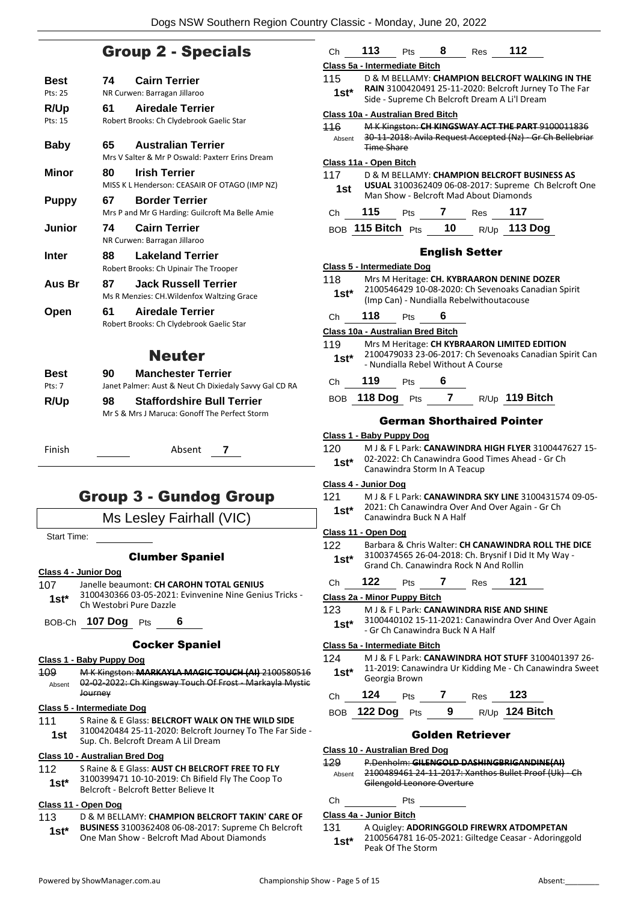### Group 2 - Specials

| <b>Best</b><br>Pts: 25 | 74  | <b>Cairn Terrier</b><br>NR Curwen: Barragan Jillaroo                         |
|------------------------|-----|------------------------------------------------------------------------------|
| R/Up<br>Pts: 15        | 61  | <b>Airedale Terrier</b><br>Robert Brooks: Ch Clydebrook Gaelic Star          |
| <b>Baby</b>            | 65  | <b>Australian Terrier</b><br>Mrs V Salter & Mr P Oswald: Paxterr Erins Dream |
| Minor                  | 80  | <b>Irish Terrier</b><br>MISS K L Henderson: CEASAIR OF OTAGO (IMP NZ)        |
| <b>Puppy</b>           | 67. | <b>Border Terrier</b><br>Mrs P and Mr G Harding: Guilcroft Ma Belle Amie     |
| Junior                 | 74  | <b>Cairn Terrier</b><br>NR Curwen: Barragan Jillaroo                         |
| Inter                  | 88  | <b>Lakeland Terrier</b><br>Robert Brooks: Ch Upinair The Trooper             |
| Aus Br                 | 87  | <b>Jack Russell Terrier</b><br>Ms R Menzies: CH. Wildenfox Waltzing Grace    |
| Open                   | 61  | Airedale Terrier<br>Robert Brooks: Ch Clydebrook Gaelic Star                 |
|                        |     | <b>Neuter</b>                                                                |
| Best                   | 90  | <b>Manchester Terrier</b>                                                    |

Pts: 7 Janet Palmer: Aust & Neut Ch Dixiedaly Savvy Gal CD RA **R/Up 98 Staffordshire Bull Terrier** Mr S & Mrs J Maruca: Gonoff The Perfect Storm

Finish Absent **7**

### Group 3 - Gundog Group

#### Ms Lesley Fairhall (VIC)

Start Time:

#### Clumber Spaniel

#### **Class 4 - Junior Dog**

- 107 Janelle beaumont: **CH CAROHN TOTAL GENIUS** 3100430366 03-05-2021: Evinvenine Nine Genius Tricks -
- Ch Westobri Pure Dazzle **1st\***

BOB-Ch **107 Dog** Pts **6**

#### Cocker Spaniel

#### **Class 1 - Baby Puppy Dog**

109 M K Kingston: **MARKAYLA MAGIC TOUCH (AI)** 2100580516 02-02-2022: Ch Kingsway Touch Of Frost - Markayla Mystic **Journey** Absent

#### **Class 5 - Intermediate Dog**

111 S Raine & E Glass: **BELCROFT WALK ON THE WILD SIDE** 3100420484 25-11-2020: Belcroft Journey To The Far Side - **1st** 3100420484 25-11-2020: Belcroft Jc<br>Sup. Ch. Belcroft Dream A Lil Dream

#### **Class 10 - Australian Bred Dog**

| 112 | S Raine & E Glass: AUST CH BELCROFT FREE TO FLY |
|-----|-------------------------------------------------|
|     |                                                 |

- 3100399471 10-10-2019: Ch Bifield Fly The Coop To Belcroft - Belcroft Better Believe It **1st\***
- **Class 11 - Open Dog**

#### 113 D & M BELLAMY: **CHAMPION BELCROFT TAKIN' CARE OF BUSINESS** 3100362408 06-08-2017: Supreme Ch Belcroft One Man Show - Belcroft Mad About Diamonds **1st\***

| Сh                                  | 113.            | Pts                          | 8              | <b>Res</b>                               | 112                                                                                                |  |
|-------------------------------------|-----------------|------------------------------|----------------|------------------------------------------|----------------------------------------------------------------------------------------------------|--|
| Class 5a - Intermediate Bitch       |                 |                              |                |                                          |                                                                                                    |  |
| 115                                 |                 |                              |                |                                          | D & M BELLAMY: CHAMPION BELCROFT WALKING IN THE                                                    |  |
| 1st*                                |                 |                              |                |                                          | RAIN 3100420491 25-11-2020: Belcroft Jurney To The Far                                             |  |
|                                     |                 |                              |                |                                          | Side - Supreme Ch Belcroft Dream A Li'l Dream                                                      |  |
| Class 10a - Australian Bred Bitch   |                 |                              |                |                                          |                                                                                                    |  |
| 116                                 |                 |                              |                |                                          | M K Kingston: CH KINGSWAY ACT THE PART 9100011836                                                  |  |
| Absent                              |                 |                              |                |                                          | 30-11-2018: Avila Request Accepted (Nz) - Gr Ch Bellebriar                                         |  |
|                                     | Time Share      |                              |                |                                          |                                                                                                    |  |
| Class 11a - Open Bitch              |                 |                              |                |                                          |                                                                                                    |  |
| 117                                 |                 |                              |                |                                          | D & M BELLAMY: CHAMPION BELCROFT BUSINESS AS                                                       |  |
| 1st                                 |                 |                              |                | Man Show - Belcroft Mad About Diamonds   | USUAL 3100362409 06-08-2017: Supreme Ch Belcroft One                                               |  |
|                                     |                 |                              |                |                                          |                                                                                                    |  |
| Ch                                  | 115             | <b>Pts</b>                   | $\overline{7}$ | Res                                      | 117                                                                                                |  |
|                                     |                 |                              |                |                                          | BOB 115 Bitch Pts 10 $R/Up$ 113 Dog                                                                |  |
|                                     |                 |                              |                |                                          |                                                                                                    |  |
|                                     |                 |                              |                | <b>English Setter</b>                    |                                                                                                    |  |
| Class 5 - Intermediate Dog          |                 |                              |                |                                          |                                                                                                    |  |
| 118                                 |                 |                              |                |                                          | Mrs M Heritage: CH. KYBRAARON DENINE DOZER                                                         |  |
| $1st^*$                             |                 |                              |                | (Imp Can) - Nundialla Rebelwithoutacouse | 2100546429 10-08-2020: Ch Sevenoaks Canadian Spirit                                                |  |
|                                     |                 |                              |                |                                          |                                                                                                    |  |
| Ch                                  | 118             | Pts                          | 6              |                                          |                                                                                                    |  |
| Class 10a - Australian Bred Bitch   |                 |                              |                |                                          |                                                                                                    |  |
| 119                                 |                 |                              |                |                                          | Mrs M Heritage: CH KYBRAARON LIMITED EDITION                                                       |  |
| $1st^*$                             |                 |                              |                |                                          | 2100479033 23-06-2017: Ch Sevenoaks Canadian Spirit Can                                            |  |
|                                     |                 |                              |                | - Nundialla Rebel Without A Course       |                                                                                                    |  |
| Сh                                  | 119             | <b>Pts</b>                   | 6              |                                          |                                                                                                    |  |
|                                     | BOB 118 Dog Pts |                              |                |                                          | 7 $R/\bigcup_{p}$ 119 Bitch                                                                        |  |
|                                     |                 |                              |                |                                          |                                                                                                    |  |
|                                     |                 |                              |                |                                          | <b>German Shorthaired Pointer</b>                                                                  |  |
| Class 1 - Baby Puppy Dog            |                 |                              |                |                                          |                                                                                                    |  |
| 120                                 |                 |                              |                |                                          | M J & F L Park: CANAWINDRA HIGH FLYER 3100447627 15-                                               |  |
| $1st^*$                             |                 |                              |                |                                          | 02-2022: Ch Canawindra Good Times Ahead - Gr Ch                                                    |  |
|                                     |                 | Canawindra Storm In A Teacup |                |                                          |                                                                                                    |  |
| Class 4 - Junior Dog                |                 |                              |                |                                          |                                                                                                    |  |
| 121                                 |                 |                              |                |                                          | M J & F L Park: CANAWINDRA SKY LINE 3100431574 09-05-                                              |  |
| $1st*$                              |                 | Canawindra Buck N A Half     |                |                                          | 2021: Ch Canawindra Over And Over Again - Gr Ch                                                    |  |
|                                     |                 |                              |                |                                          |                                                                                                    |  |
| Class 11 - Open Dog                 |                 |                              |                |                                          | Barbara & Chris Walter: CH CANAWINDRA ROLL THE DICE                                                |  |
| 122                                 |                 |                              |                |                                          | 3100374565 26-04-2018: Ch. Brysnif I Did It My Way -                                               |  |
| $1st*$                              |                 |                              |                | Grand Ch. Canawindra Rock N And Rollin   |                                                                                                    |  |
|                                     | 122             | Pts                          | 7              |                                          | 121                                                                                                |  |
| Ch                                  |                 |                              |                | <b>Res</b>                               |                                                                                                    |  |
| <b>Class 2a - Minor Puppy Bitch</b> |                 |                              |                |                                          |                                                                                                    |  |
| 123                                 |                 |                              |                |                                          | M J & F L Park: CANAWINDRA RISE AND SHINE<br>3100440102 15-11-2021: Canawindra Over And Over Again |  |
| 1st*                                |                 |                              |                | - Gr Ch Canawindra Buck N A Half         |                                                                                                    |  |
| Class 5a - Intermediate Bitch       |                 |                              |                |                                          |                                                                                                    |  |
| 124                                 |                 |                              |                |                                          | M J & F L Park: CANAWINDRA HOT STUFF 3100401397 26-                                                |  |
| $1st^*$                             |                 |                              |                |                                          | 11-2019: Canawindra Ur Kidding Me - Ch Canawindra Sweet                                            |  |
|                                     | Georgia Brown   |                              |                |                                          |                                                                                                    |  |
| Ch                                  | 124             | Pts                          |                | 7 Res                                    | - 123                                                                                              |  |
|                                     | <b>122 Dog</b>  |                              | 9              |                                          | R/Up 124 Bitch                                                                                     |  |
| BOB                                 |                 | Pts                          |                |                                          |                                                                                                    |  |

#### Golden Retriever

#### **Class 10 - Australian Bred Dog**

129 P.Denholm: **GILENGOLD DASHINGBRIGANDINE(AI)** 2100489461 24-11-2017: Xanthos Bullet Proof (Uk) - Ch Gilengold Leonore Overture Absent

#### Ch Pts

#### **Class 4a - Junior Bitch**

131 A Quigley: **ADORINGGOLD FIREWRX ATDOMPETAN** 2100564781 16-05-2021: Giltedge Ceasar - Adoringgold Peak Of The Storm **1st\***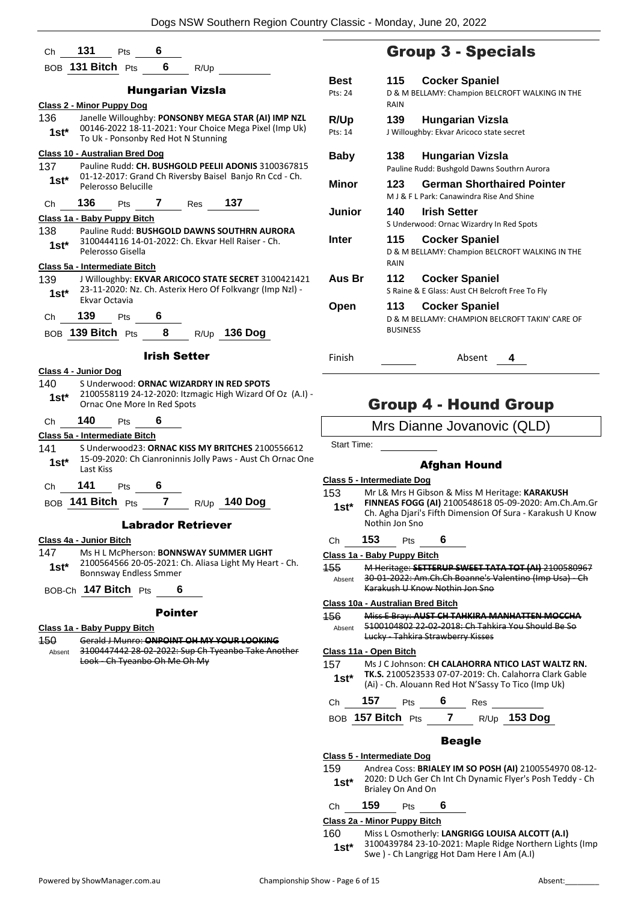|                         |                                             | Ch 131 Pts 6                   |                            |                                     |                                                                                                                  |  |
|-------------------------|---------------------------------------------|--------------------------------|----------------------------|-------------------------------------|------------------------------------------------------------------------------------------------------------------|--|
|                         |                                             | BOB 131 Bitch Pts              |                            | 6 $R/Up$                            |                                                                                                                  |  |
|                         |                                             |                                |                            | <b>Hungarian Vizsla</b>             |                                                                                                                  |  |
|                         |                                             | Class 2 - Minor Puppy Dog      |                            |                                     |                                                                                                                  |  |
| 136.<br>$1st^*$         |                                             |                                |                            | To Uk - Ponsonby Red Hot N Stunning | Janelle Willoughby: PONSONBY MEGA STAR (AI) IMP NZL<br>00146-2022 18-11-2021: Your Choice Mega Pixel (Imp Uk)    |  |
|                         |                                             | Class 10 - Australian Bred Dog |                            |                                     |                                                                                                                  |  |
| 137<br>$1st^*$          |                                             | Pelerosso Belucille            |                            |                                     | Pauline Rudd: CH. BUSHGOLD PEELII ADONIS 3100367815<br>01-12-2017: Grand Ch Riversby Baisel Banjo Rn Ccd - Ch.   |  |
|                         |                                             |                                |                            | Ch 136 Pts 7 Res 137                |                                                                                                                  |  |
|                         |                                             | Class 1a - Baby Puppy Bitch    |                            |                                     |                                                                                                                  |  |
| 1st*                    |                                             | Pelerosso Gisella              |                            |                                     | 138 Pauline Rudd: BUSHGOLD DAWNS SOUTHRN AURORA<br>3100444116 14-01-2022: Ch. Ekvar Hell Raiser - Ch.            |  |
|                         |                                             | Class 5a - Intermediate Bitch  |                            |                                     |                                                                                                                  |  |
| 139<br>$1st^*$          | Ekvar Octavia                               |                                |                            |                                     | J Willoughby: EKVAR ARICOCO STATE SECRET 3100421421<br>23-11-2020: Nz. Ch. Asterix Hero Of Folkvangr (Imp NzI) - |  |
|                         |                                             | Ch 139 Pts 6                   |                            |                                     |                                                                                                                  |  |
|                         |                                             |                                |                            |                                     | BOB 139 Bitch Pts 8 R/Up 136 Dog                                                                                 |  |
|                         |                                             |                                |                            | <b>Irish Setter</b>                 |                                                                                                                  |  |
| Class 4 - Junior Dog    |                                             |                                |                            |                                     |                                                                                                                  |  |
| 140                     |                                             |                                |                            |                                     | S Underwood: ORNAC WIZARDRY IN RED SPOTS                                                                         |  |
| 1st*                    |                                             | Ornac One More In Red Spots    |                            |                                     | 2100558119 24-12-2020: Itzmagic High Wizard Of Oz (A.I) -                                                        |  |
| Ch                      | $\begin{array}{cc} 140 \\ -140 \end{array}$ | <b>Pts</b>                     | 6                          |                                     |                                                                                                                  |  |
|                         |                                             | Class 5a - Intermediate Bitch  |                            |                                     |                                                                                                                  |  |
| 141<br>$1st^*$          | Last Kiss                                   |                                |                            |                                     | S Underwood23: ORNAC KISS MY BRITCHES 2100556612<br>15-09-2020: Ch Cianroninnis Jolly Paws - Aust Ch Ornac One   |  |
| Ch 141                  |                                             | Pts                            | 6                          |                                     |                                                                                                                  |  |
|                         | BOB 141 Bitch Pts                           |                                | $\overline{7}$             |                                     | R/Up 140 Dog                                                                                                     |  |
|                         |                                             |                                |                            | <b>Labrador Retriever</b>           |                                                                                                                  |  |
| Class 4a - Junior Bitch |                                             |                                |                            |                                     |                                                                                                                  |  |
| 147                     |                                             |                                |                            |                                     | Ms H L McPherson: <b>BONNSWAY SUMMER LIGHT</b>                                                                   |  |
| 1st*                    |                                             | <b>Bonnsway Endless Smmer</b>  |                            |                                     | 2100564566 20-05-2021: Ch. Aliasa Light My Heart - Ch.                                                           |  |
|                         |                                             | BOB-Ch 147 Bitch Pts           | $\overline{\phantom{0}}$ 6 |                                     |                                                                                                                  |  |
|                         |                                             |                                | <b>Pointer</b>             |                                     |                                                                                                                  |  |
|                         |                                             | Class 1a - Baby Puppy Bitch    |                            |                                     |                                                                                                                  |  |
| 150                     |                                             |                                |                            |                                     | Gerald J Munro: ONPOINT OH MY YOUR LOOKING                                                                       |  |
| Absent                  |                                             | Look Ch Tyeanbo Oh Me Oh My    |                            |                                     | 3100447442 28-02-2022: Sup Ch Tyeanbo Take Another                                                               |  |
|                         |                                             |                                |                            |                                     |                                                                                                                  |  |
|                         |                                             |                                |                            |                                     |                                                                                                                  |  |
|                         |                                             |                                |                            |                                     |                                                                                                                  |  |
|                         |                                             |                                |                            |                                     |                                                                                                                  |  |
|                         |                                             |                                |                            |                                     |                                                                                                                  |  |
|                         |                                             |                                |                            |                                     |                                                                                                                  |  |
|                         |                                             |                                |                            |                                     |                                                                                                                  |  |
|                         |                                             |                                |                            |                                     |                                                                                                                  |  |

### Group 3 - Specials

| Best        | 115             | <b>Cocker Spaniel</b>                                                          |
|-------------|-----------------|--------------------------------------------------------------------------------|
| Pts: 24     | RAIN            | D & M BELLAMY: Champion BELCROFT WALKING IN THE                                |
| <b>R/Up</b> | 139             | <b>Hungarian Vizsla</b>                                                        |
| Pts: 14     |                 | J Willoughby: Ekvar Aricoco state secret                                       |
| Baby        | 138             | Hungarian Vizsla                                                               |
|             |                 | Pauline Rudd: Bushgold Dawns Southrn Aurora                                    |
| Minor       | 123             | <b>German Shorthaired Pointer</b><br>M J & F L Park: Canawindra Rise And Shine |
| Junior      | 140             | <b>Irish Setter</b>                                                            |
|             |                 | S Underwood: Ornac Wizardry In Red Spots                                       |
| Inter       | 115             | <b>Cocker Spaniel</b>                                                          |
|             | RAIN            | D & M BELLAMY: Champion BELCROFT WALKING IN THE                                |
| Aus Br      | 112             | <b>Cocker Spaniel</b>                                                          |
|             |                 | S Raine & E Glass: Aust CH Belcroft Free To Fly                                |
| Open        | 113             | <b>Cocker Spaniel</b>                                                          |
|             | <b>BUSINESS</b> | D & M BELLAMY: CHAMPION BELCROFT TAKIN' CARE OF                                |
| Finish      |                 | Absent<br>4                                                                    |

### Group 4 - Hound Group

Mrs Dianne Jovanovic (QLD)

Start Time:

#### Afghan Hound

#### **Class 5 - Intermediate Dog**

- 153 Mr L& Mrs H Gibson & Miss M Heritage: **KARAKUSH FINNEAS FOGG (AI)** 2100548618 05-09-2020: Am.Ch.Am.Gr Ch. Agha Djari's Fifth Dimension Of Sura - Karakush U Know Nothin Jon Sno **1st\***
- Ch **153** Pts **6**

#### **Class 1a - Baby Puppy Bitch**

155 M Heritage: **SETTERUP SWEET TATA TOT (AI)** 2100580967 30-01-2022: Am.Ch.Ch Boanne's Valentino (Imp Usa) - Ch Karakush U Know Nothin Jon Sno Absent

#### **Class 10a - Australian Bred Bitch**

156 Miss E Bray: **AUST CH TAHKIRA MANHATTEN MOCCHA** 5100104802 22-02-2018: Ch Tahkira You Should Be So Lucky - Tahkira Strawberry Kisses Absent

#### **Class 11a - Open Bitch**

- 157 Ms J C Johnson: **CH CALAHORRA NTICO LAST WALTZ RN. TK.S.** 2100523533 07-07-2019: Ch. Calahorra Clark Gable (Ai) - Ch. Alouann Red Hot N'Sassy To Tico (Imp Uk) **1st\***
- 

Ch **157** Pts **6** Res BOB **157 Bitch** Pts **7** R/Up **153 Dog**

#### Beagle

#### **Class 5 - Intermediate Dog**

159 Andrea Coss: **BRIALEY IM SO POSH (AI)** 2100554970 08-12- 2020: D Uch Ger Ch Int Ch Dynamic Flyer's Posh Teddy - Ch **1st**\* 2020: D Uch Ger Character Character Brialey On And On

#### Ch **159** Pts **6**

**Class 2a - Minor Puppy Bitch**

160 Miss L Osmotherly: **LANGRIGG LOUISA ALCOTT (A.I)** 3100439784 23-10-2021: Maple Ridge Northern Lights (Imp

**1st** 3100439784 23-10-2021: Maple Ridge North<br>Swe ) - Ch Langrigg Hot Dam Here I Am (A.I)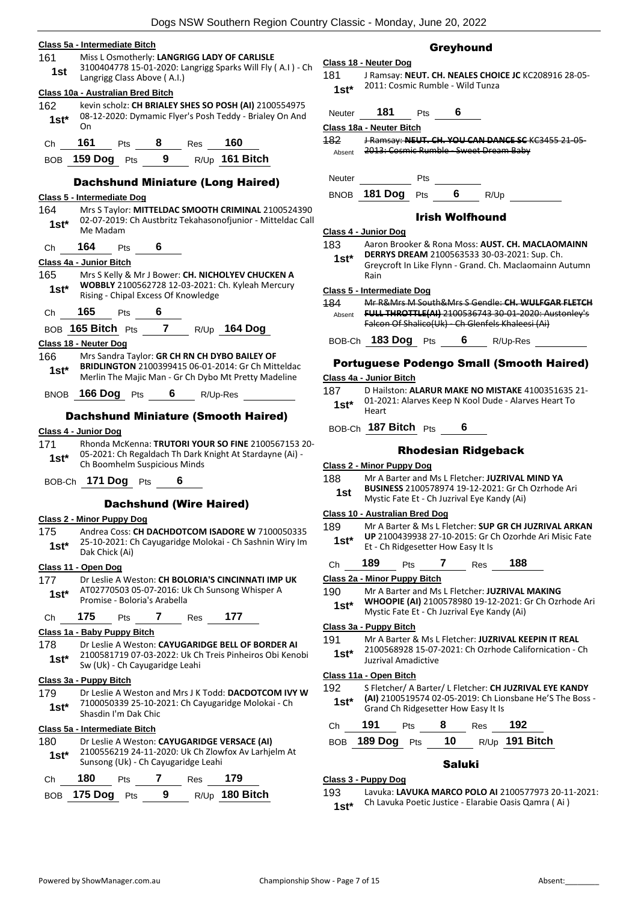#### **Class 5a - Intermediate Bitch**

#### 161 Miss L Osmotherly: **LANGRIGG LADY OF CARLISLE**

3100404778 15-01-2020: Langrigg Sparks Will Fly ( A.I ) - Ch **1st**  $\frac{5100404778 \text{ J}3-01-2020. \text{L}}{\text{Langing Class Above (A.I.)}}$ 

#### **Class 10a - Australian Bred Bitch**

162 kevin scholz: **CH BRIALEY SHES SO POSH (AI)** 2100554975 08-12-2020: Dymamic Flyer's Posh Teddy - Brialey On And On **1st\***

| (Ch | 161 | ীাs | ĸes | 160 |
|-----|-----|-----|-----|-----|
|     |     |     |     |     |

BOB **159 Dog** Pts **9** R/Up **161 Bitch**

#### Dachshund Miniature (Long Haired)

#### **Class 5 - Intermediate Dog**

- 164 Mrs S Taylor: **MITTELDAC SMOOTH CRIMINAL** 2100524390 02-07-2019: Ch Austbritz Tekahasonofjunior - Mitteldac Call 1st<sup>\*</sup> U<sub>2</sub>-U<sub>1</sub>-2019
- Ch **164** Pts **6**

#### **Class 4a - Junior Bitch**

- 165 Mrs S Kelly & Mr J Bower: **CH. NICHOLYEV CHUCKEN A WOBBLY** 2100562728 12-03-2021: Ch. Kyleah Mercury 1st\* WOBBLY 2100562728 12-03-2021:<br>Rising - Chipal Excess Of Knowledge
- Ch **165** Pts **6**
- BOB **165 Bitch** Pts **7** R/Up **164 Dog**

#### **Class 18 - Neuter Dog**

- 166 Mrs Sandra Taylor: **GR CH RN CH DYBO BAILEY OF BRIDLINGTON** 2100399415 06-01-2014: Gr Ch Mitteldac
- Merlin The Majic Man Gr Ch Dybo Mt Pretty Madeline **1st\***

BNOB **166 Dog** Pts **6** R/Up-Res

#### Dachshund Miniature (Smooth Haired)

#### **Class 4 - Junior Dog**

- 171 Rhonda McKenna: **TRUTORI YOUR SO FINE** 2100567153 20- 05-2021: Ch Regaldach Th Dark Knight At Stardayne (Ai) - 1st\* UD-2021: Ch Regaldach In Dark<br>Ch Boomhelm Suspicious Minds
- BOB-Ch **171 Dog** Pts **6**

#### Dachshund (Wire Haired)

#### **Class 2 - Minor Puppy Dog**

175 Andrea Coss: **CH DACHDOTCOM ISADORE W** 7100050335 25-10-2021: Ch Cayugaridge Molokai - Ch Sashnin Wiry Im 1st\* <sup>25-10-2021: C</sup><br>Dak Chick (Ai)

#### **Class 11 - Open Dog**

- 177 Dr Leslie A Weston: **CH BOLORIA'S CINCINNATI IMP UK**
- AT02770503 05-07-2016: Uk Ch Sunsong Whisper A Promise - Boloria's Arabella **1st\***
- Ch **175** Pts **7** Res **177**

#### **Class 1a - Baby Puppy Bitch**

178 Dr Leslie A Weston: **CAYUGARIDGE BELL OF BORDER AI** 2100581719 07-03-2022: Uk Ch Treis Pinheiros Obi Kenobi 1st\* 2100581719 07-03-2022: OK Cr<br>Sw (Uk) - Ch Cayugaridge Leahi

#### **Class 3a - Puppy Bitch**

179 Dr Leslie A Weston and Mrs J K Todd: **DACDOTCOM IVY W** 7100050339 25-10-2021: Ch Cayugaridge Molokai - Ch Shasdin I'm Dak Chic **1st\***

#### **Class 5a - Intermediate Bitch**

| 180<br>$1st*$ |     |            | Sunsong (Uk) - Ch Cayugaridge Leahi | Dr Leslie A Weston: CAYUGARIDGE VERSACE (AI)<br>2100556219 24-11-2020: Uk Ch Zlowfox Av Larhjelm At |  |
|---------------|-----|------------|-------------------------------------|-----------------------------------------------------------------------------------------------------|--|
| Ch.           | 180 | <b>Pts</b> | Res                                 | 179                                                                                                 |  |

|  | BOB $175$ Dog $P$ ts |  |  |  | R/Up 180 Bitch |
|--|----------------------|--|--|--|----------------|
|--|----------------------|--|--|--|----------------|

#### Greyhound

**Class 18 - Neuter Dog** 181 J Ramsay: **NEUT. CH. NEALES CHOICE JC** KC208916 28-05- 2011: Cosmic Rumble - Wild Tunza **1st\***

Neuter **181** Pts **6**

**Class 18a - Neuter Bitch**

| 182    | J Ramsay: NEUT. CH. YOU CAN DANCE SC KC3455 21-05- |
|--------|----------------------------------------------------|
| Absent | 2013: Cosmic Rumble Sweet Dream Baby               |

Neuter Pts

BNOB **181 Dog** Pts **6** R/Up

#### Irish Wolfhound

#### **Class 4 - Junior Dog**

- 183 Aaron Brooker & Rona Moss: **AUST. CH. MACLAOMAINN DERRYS DREAM** 2100563533 30-03-2021: Sup. Ch.
- Greycroft In Like Flynn Grand. Ch. Maclaomainn Autumn Rain **1st\***

#### **Class 5 - Intermediate Dog**

- 184 Mr R&Mrs M South&Mrs S Gendle: **CH. WULFGAR FLETCH FULL THROTTLE(AI)** 2100536743 30-01-2020: Austonley's Falcon Of Shalico(Uk) Ch Glenfels Khaleesi (Ai) Absent
- BOB-Ch **183 Dog** Pts **6** R/Up-Res

#### Portuguese Podengo Small (Smooth Haired)

#### **Class 4a - Junior Bitch**

- 187 D Hailston: **ALARUR MAKE NO MISTAKE** 4100351635 21- 01-2021: Alarves Keep N Kool Dude - Alarves Heart To 1st<sup>\*</sup> <sup>U1-20</sup><br>Heart
- BOB-Ch **187 Bitch** Pts **6**

#### Rhodesian Ridgeback

#### **Class 2 - Minor Puppy Dog**

- 188 Mr A Barter and Ms L Fletcher: **JUZRIVAL MIND YA** 
	- **BUSINESS** 2100578974 19-12-2021: Gr Ch Ozrhode Ari
	-
- 189 Mr A Barter & Ms L Fletcher: **SUP GR CH JUZRIVAL ARKAN UP** 2100439938 27-10-2015: Gr Ch Ozorhde Ari Misic Fate **1st\*** UP 2100439938 27-10-2015: Gr Q<br>Et - Ch Ridgesetter How Easy It Is
- Ch **189** Pts **7** Res **188**
- 190 Mr A Barter and Ms L Fletcher: **JUZRIVAL MAKING** 
	- **WHOOPIE (AI)** 2100578980 19-12-2021: Gr Ch Ozrhode Ari Mystic Fate Et - Ch Juzrival Eye Kandy (Ai) **1st\***

#### **Class 3a - Puppy Bitch**

191 Mr A Barter & Ms L Fletcher: **JUZRIVAL KEEPIN IT REAL** 2100568928 15-07-2021: Ch Ozrhode Californication - Ch Juzrival Amadictive **1st\***

#### **Class 11a - Open Bitch**

192 S Fletcher/ A Barter/ L Fletcher: **CH JUZRIVAL EYE KANDY (AI)** 2100519574 02-05-2019: Ch Lionsbane He'S The Boss - **1st\*** (All 2100519574 02-05-2019: Ch Lion<br>Grand Ch Ridgesetter How Easy It Is

| Ch — | 191                | <b>Pts</b> | 8 | Res | - 192            |
|------|--------------------|------------|---|-----|------------------|
|      | BOB 189 Dog Pts 10 |            |   |     | $R/Up$ 191 Bitch |

#### Saluki

**Class 3 - Puppy Dog**

193 Lavuka: **LAVUKA MARCO POLO AI** 2100577973 20-11-2021: Ch Lavuka Poetic Justice - Elarabie Oasis Qamra ( Ai ) **1st\***

Mystic Fate Et - Ch Juzrival Eye Kandy (Ai) **1st**

## **Class 10 - Australian Bred Dog**

**Class 2a - Minor Puppy Bitch**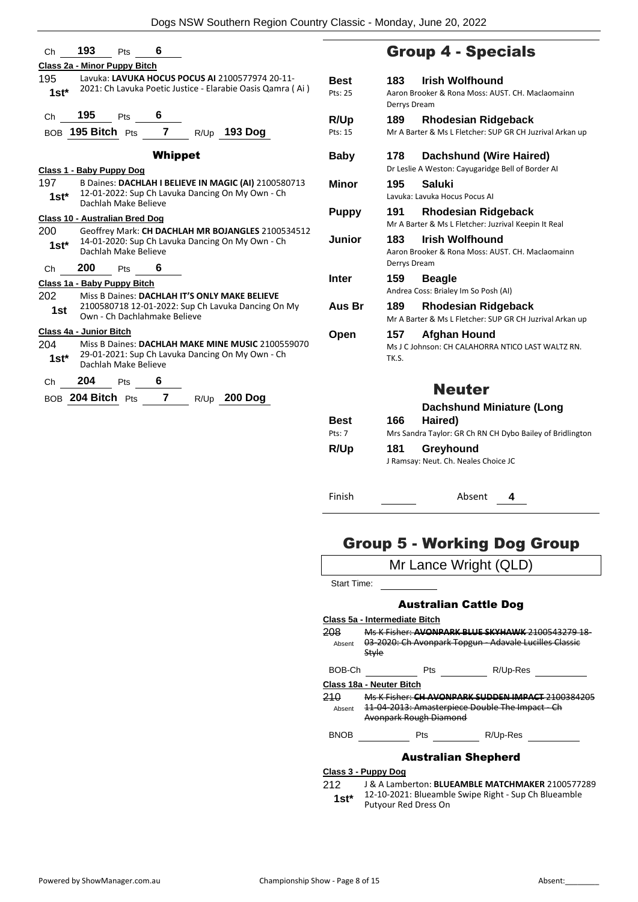| Ch             | 193                                                                                                                           | Pts | 6              |      |                                                    |                                                            |                        |
|----------------|-------------------------------------------------------------------------------------------------------------------------------|-----|----------------|------|----------------------------------------------------|------------------------------------------------------------|------------------------|
|                | Class 2a - Minor Puppy Bitch                                                                                                  |     |                |      |                                                    |                                                            |                        |
| 195<br>$1st^*$ |                                                                                                                               |     |                |      | Lavuka: LAVUKA HOCUS POCUS AI 2100577974 20-11-    | 2021: Ch Lavuka Poetic Justice - Elarabie Oasis Qamra (Ai) | <b>Best</b><br>Pts: 25 |
| Ch             | 195<br>$_{\text{BOB}}$ 195 Bitch $_{\text{Pts}}$ 7                                                                            | Pts | 6              |      | $R/Up$ 193 Dog                                     |                                                            | R/Up<br>Pts: 15        |
|                |                                                                                                                               |     | <b>Whippet</b> |      |                                                    |                                                            | Baby                   |
|                | Class 1 - Baby Puppy Dog                                                                                                      |     |                |      |                                                    |                                                            |                        |
| 197<br>1st*    |                                                                                                                               |     |                |      | 12-01-2022: Sup Ch Lavuka Dancing On My Own - Ch   | B Daines: DACHLAH I BELIEVE IN MAGIC (AI) 2100580713       | Minor                  |
|                | Dachlah Make Believe                                                                                                          |     |                |      |                                                    |                                                            | Puppy                  |
| 200            | <b>Class 10 - Australian Bred Dog</b>                                                                                         |     |                |      |                                                    |                                                            |                        |
| 1st*           | Geoffrey Mark: CH DACHLAH MR BOJANGLES 2100534512<br>14-01-2020: Sup Ch Lavuka Dancing On My Own - Ch<br>Dachlah Make Believe |     |                |      | Junior                                             |                                                            |                        |
| Ch             | 200                                                                                                                           | Pts | 6              |      |                                                    |                                                            |                        |
|                | Class 1a - Baby Puppy Bitch                                                                                                   |     |                |      |                                                    |                                                            | Inter                  |
| 202            |                                                                                                                               |     |                |      | Miss B Daines: DACHLAH IT'S ONLY MAKE BELIEVE      |                                                            |                        |
| 1st            | Own - Ch Dachlahmake Believe                                                                                                  |     |                |      | 2100580718 12-01-2022: Sup Ch Lavuka Dancing On My |                                                            | Aus Br                 |
|                | Class 4a - Junior Bitch                                                                                                       |     |                |      |                                                    |                                                            | Open                   |
| 204            |                                                                                                                               |     |                |      |                                                    | Miss B Daines: DACHLAH MAKE MINE MUSIC 2100559070          |                        |
| 1st*           | Dachlah Make Believe                                                                                                          |     |                |      | 29-01-2021: Sup Ch Lavuka Dancing On My Own - Ch   |                                                            |                        |
| Ch             | 204                                                                                                                           | Pts | 6              |      |                                                    |                                                            |                        |
|                | BOB 204 Bitch Pts                                                                                                             |     | 7              | R/Up | <b>200 Dog</b>                                     |                                                            |                        |

### Group 4 - Specials

| Best<br>Pts: 25 | 183                 | <b>Irish Wolfhound</b><br>Aaron Brooker & Rona Moss: AUST, CH. Maclaomainn             |
|-----------------|---------------------|----------------------------------------------------------------------------------------|
|                 | Derrys Dream        |                                                                                        |
| <b>R/Up</b>     | 189                 | <b>Rhodesian Ridgeback</b>                                                             |
| Pts: 15         |                     | Mr A Barter & Ms L Fletcher: SUP GR CH Juzrival Arkan up                               |
| <b>Baby</b>     | 178                 | Dachshund (Wire Haired)<br>Dr Leslie A Weston: Cayugaridge Bell of Border AI           |
| Minor           | 195                 | Saluki<br>Lavuka: Lavuka Hocus Pocus Al                                                |
| <b>Puppy</b>    | 191                 | <b>Rhodesian Ridgeback</b><br>Mr A Barter & Ms L Fletcher: Juzrival Keepin It Real     |
| Junior          | 183<br>Derrys Dream | <b>Irish Wolfhound</b><br>Aaron Brooker & Rona Moss: AUST, CH. Maclaomainn             |
| Inter           | 159                 | <b>Beagle</b><br>Andrea Coss: Brialey Im So Posh (AI)                                  |
| Aus Br          | 189                 | <b>Rhodesian Ridgeback</b><br>Mr A Barter & Ms L Fletcher: SUP GR CH Juzrival Arkan up |
| Open            | 157<br>TK.S.        | Afghan Hound<br>Ms J C Johnson: CH CALAHORRA NTICO LAST WALTZ RN.                      |
|                 |                     | Neuter                                                                                 |

| <b>Best</b><br>Pts: 7 | <b>Dachshund Miniature (Long</b><br>Haired)<br>166<br>Mrs Sandra Taylor: GR Ch RN CH Dybo Bailey of Bridlington |                                                   |  |  |  |  |
|-----------------------|-----------------------------------------------------------------------------------------------------------------|---------------------------------------------------|--|--|--|--|
| R/Up                  | 181                                                                                                             | Greyhound<br>J Ramsay: Neut. Ch. Neales Choice JC |  |  |  |  |
| Finish                |                                                                                                                 | Absent                                            |  |  |  |  |

### Group 5 - Working Dog Group

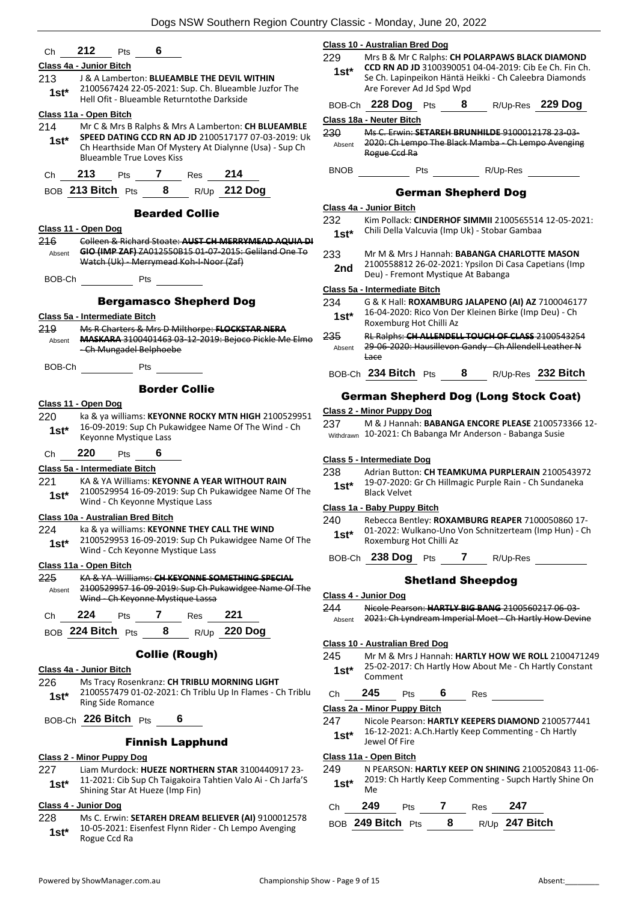| 212<br>6<br>Pts<br>Ch                                                                                                                                                                                                                                                                                                                                                                                                          | <b>Class 10 - Australian Bred Dog</b>                                                                                                |  |  |  |
|--------------------------------------------------------------------------------------------------------------------------------------------------------------------------------------------------------------------------------------------------------------------------------------------------------------------------------------------------------------------------------------------------------------------------------|--------------------------------------------------------------------------------------------------------------------------------------|--|--|--|
| Class 4a - Junior Bitch                                                                                                                                                                                                                                                                                                                                                                                                        | 229<br>Mrs B & Mr C Ralphs: CH POLARPAWS BLACK DIAMOND                                                                               |  |  |  |
| 213<br>J & A Lamberton: BLUEAMBLE THE DEVIL WITHIN                                                                                                                                                                                                                                                                                                                                                                             | CCD RN AD JD 3100390051 04-04-2019: Cib Ee Ch. Fin Ch.<br>$1st^*$<br>Se Ch. Lapinpeikon Häntä Heikki - Ch Caleebra Diamonds          |  |  |  |
| 2100567424 22-05-2021: Sup. Ch. Blueamble Juzfor The<br>$1st*$<br>Hell Ofit - Blueamble Returntothe Darkside                                                                                                                                                                                                                                                                                                                   | Are Forever Ad Jd Spd Wpd<br>BOB-Ch 228 Dog Pts 8<br>R/Up-Res 229 Dog                                                                |  |  |  |
| Class 11a - Open Bitch                                                                                                                                                                                                                                                                                                                                                                                                         | Class 18a - Neuter Bitch                                                                                                             |  |  |  |
| 214<br>Mr C & Mrs B Ralphs & Mrs A Lamberton: CH BLUEAMBLE<br>SPEED DATING CCD RN AD JD 2100517177 07-03-2019: Uk<br>$1st*$<br>Ch Hearthside Man Of Mystery At Dialynne (Usa) - Sup Ch<br><b>Blueamble True Loves Kiss</b>                                                                                                                                                                                                     | 230<br>Ms C. Erwin: SETAREH BRUNHILDE 9100012178 23-03-<br>Absent 2020: Ch Lempo The Black Mamba - Ch Lempo Avenging<br>Rogue Ccd Ra |  |  |  |
| 213<br>Pts 7 Res<br>214<br>Ch                                                                                                                                                                                                                                                                                                                                                                                                  |                                                                                                                                      |  |  |  |
| BOB 213 Bitch Pts 8 R/Up 212 Dog                                                                                                                                                                                                                                                                                                                                                                                               | <b>German Shepherd Dog</b>                                                                                                           |  |  |  |
|                                                                                                                                                                                                                                                                                                                                                                                                                                | Class 4a - Junior Bitch                                                                                                              |  |  |  |
| <b>Bearded Collie</b>                                                                                                                                                                                                                                                                                                                                                                                                          | 232<br>Kim Pollack: CINDERHOF SIMMII 2100565514 12-05-2021:                                                                          |  |  |  |
| Class 11 - Open Dog                                                                                                                                                                                                                                                                                                                                                                                                            | Chili Della Valcuvia (Imp Uk) - Stobar Gambaa<br>$1st*$                                                                              |  |  |  |
| Colleen & Richard Stoate: AUST CH MERRYMEAD AQUIA DI<br>216<br>GIO (IMP ZAF) ZA012550B15 01-07-2015: Geliland One To                                                                                                                                                                                                                                                                                                           |                                                                                                                                      |  |  |  |
| Absent<br>Watch (Uk) - Merrymead Koh-I-Noor (Zaf)                                                                                                                                                                                                                                                                                                                                                                              | 233<br>Mr M & Mrs J Hannah: BABANGA CHARLOTTE MASON                                                                                  |  |  |  |
|                                                                                                                                                                                                                                                                                                                                                                                                                                | 2100558812 26-02-2021: Ypsilon Di Casa Capetians (Imp<br>2nd<br>Deu) - Fremont Mystique At Babanga                                   |  |  |  |
| $\frac{1}{\sqrt{1-\frac{1}{2}}\sqrt{1-\frac{1}{2}}\sqrt{1-\frac{1}{2}}\sqrt{1-\frac{1}{2}}\sqrt{1-\frac{1}{2}}\sqrt{1-\frac{1}{2}}\sqrt{1-\frac{1}{2}}\sqrt{1-\frac{1}{2}}\sqrt{1-\frac{1}{2}}\sqrt{1-\frac{1}{2}}\sqrt{1-\frac{1}{2}}\sqrt{1-\frac{1}{2}}\sqrt{1-\frac{1}{2}}\sqrt{1-\frac{1}{2}}\sqrt{1-\frac{1}{2}}\sqrt{1-\frac{1}{2}}\sqrt{1-\frac{1}{2}}\sqrt{1-\frac{1}{2}}\sqrt{1-\frac{1}{2}}\sqrt{1-\frac$<br>BOB-Ch | Class 5a - Intermediate Bitch                                                                                                        |  |  |  |
| <b>Bergamasco Shepherd Dog</b>                                                                                                                                                                                                                                                                                                                                                                                                 | 234<br>G & K Hall: ROXAMBURG JALAPENO (AI) AZ 7100046177                                                                             |  |  |  |
| Class 5a - Intermediate Bitch                                                                                                                                                                                                                                                                                                                                                                                                  | 16-04-2020: Rico Von Der Kleinen Birke (Imp Deu) - Ch<br>$1st*$<br>Roxemburg Hot Chilli Az                                           |  |  |  |
| Ms R Charters & Mrs D Milthorpe: FLOCKSTAR NERA<br>219<br>MASKARA 3100401463 03-12-2019: Bejoco Pickle Me Elmo<br>Absent                                                                                                                                                                                                                                                                                                       | 235<br>RL Ralphs: CH ALLENDELL TOUCH OF CLASS 2100543254<br>29-06-2020: Hausillevon Gandy - Ch Allendell Leather N                   |  |  |  |
| - Ch Mungadel Belphoebe<br>BOB-Ch Pts                                                                                                                                                                                                                                                                                                                                                                                          | Absent<br><b>Lace</b>                                                                                                                |  |  |  |
|                                                                                                                                                                                                                                                                                                                                                                                                                                | BOB-Ch 234 Bitch Pts 8 R/Up-Res 232 Bitch                                                                                            |  |  |  |
| <b>Border Collie</b>                                                                                                                                                                                                                                                                                                                                                                                                           | <b>German Shepherd Dog (Long Stock Coat)</b>                                                                                         |  |  |  |
| Class 11 - Open Dog                                                                                                                                                                                                                                                                                                                                                                                                            |                                                                                                                                      |  |  |  |
| 220<br>ka & ya williams: KEYONNE ROCKY MTN HIGH 2100529951                                                                                                                                                                                                                                                                                                                                                                     | Class 2 - Minor Puppy Dog                                                                                                            |  |  |  |
| 16-09-2019: Sup Ch Pukawidgee Name Of The Wind - Ch<br>$1st*$<br>Keyonne Mystique Lass                                                                                                                                                                                                                                                                                                                                         | 237<br>M & J Hannah: BABANGA ENCORE PLEASE 2100573366 12-<br>Withdrawn 10-2021: Ch Babanga Mr Anderson - Babanga Susie               |  |  |  |
| 220<br>6<br>Ch<br>Pts                                                                                                                                                                                                                                                                                                                                                                                                          | Class 5 - Intermediate Dog                                                                                                           |  |  |  |
| Class 5a - Intermediate Bitch                                                                                                                                                                                                                                                                                                                                                                                                  | 238<br>Adrian Button: CH TEAMKUMA PURPLERAIN 2100543972                                                                              |  |  |  |
| KA & YA Williams: KEYONNE A YEAR WITHOUT RAIN<br>221                                                                                                                                                                                                                                                                                                                                                                           | 19-07-2020: Gr Ch Hillmagic Purple Rain - Ch Sundaneka<br>$1st^*$                                                                    |  |  |  |
| 2100529954 16-09-2019: Sup Ch Pukawidgee Name Of The<br>$1st^*$                                                                                                                                                                                                                                                                                                                                                                | <b>Black Velvet</b>                                                                                                                  |  |  |  |
| Wind - Ch Keyonne Mystique Lass                                                                                                                                                                                                                                                                                                                                                                                                | Class 1a - Baby Puppy Bitch                                                                                                          |  |  |  |
| Class 10a - Australian Bred Bitch                                                                                                                                                                                                                                                                                                                                                                                              | 240<br>Rebecca Bentley: ROXAMBURG REAPER 7100050860 17-                                                                              |  |  |  |
| ka & ya williams: KEYONNE THEY CALL THE WIND<br>224<br>2100529953 16-09-2019: Sup Ch Pukawidgee Name Of The<br>$1st*$                                                                                                                                                                                                                                                                                                          | 01-2022: Wulkano-Uno Von Schnitzerteam (Imp Hun) - Ch<br>$1st*$<br>Roxemburg Hot Chilli Az                                           |  |  |  |
| Wind - Cch Keyonne Mystique Lass<br>Class 11a - Open Bitch                                                                                                                                                                                                                                                                                                                                                                     | BOB-Ch 238 Dog Pts 7 R/Up-Res                                                                                                        |  |  |  |
| KA & YA Williams: CH KEYONNE SOMETHING SPECIAL<br>225                                                                                                                                                                                                                                                                                                                                                                          | <b>Shetland Sheepdog</b>                                                                                                             |  |  |  |
| 2100529957 16-09-2019: Sup Ch Pukawidgee Name Of The<br>Absent                                                                                                                                                                                                                                                                                                                                                                 |                                                                                                                                      |  |  |  |
| Wind - Ch Keyonne Mystique Lassa                                                                                                                                                                                                                                                                                                                                                                                               | Class 4 - Junior Dog<br>244<br>Nicole Pearson: HARTLY BIG BANG 2100560217 06-03-                                                     |  |  |  |
| 224<br>221<br>Pts 7<br>Res<br>Ch                                                                                                                                                                                                                                                                                                                                                                                               | 2021: Ch Lyndream Imperial Moet - Ch Hartly How Devine<br>Absent                                                                     |  |  |  |
| 8<br>R/Up 220 Dog<br>BOB 224 Bitch Pts                                                                                                                                                                                                                                                                                                                                                                                         |                                                                                                                                      |  |  |  |
|                                                                                                                                                                                                                                                                                                                                                                                                                                | Class 10 - Australian Bred Dog                                                                                                       |  |  |  |
| <b>Collie (Rough)</b>                                                                                                                                                                                                                                                                                                                                                                                                          | Mr M & Mrs J Hannah: HARTLY HOW WE ROLL 2100471249<br>245                                                                            |  |  |  |
| Class 4a - Junior Bitch                                                                                                                                                                                                                                                                                                                                                                                                        | 25-02-2017: Ch Hartly How About Me - Ch Hartly Constant<br>$1st*$<br>Comment                                                         |  |  |  |
| 226<br>Ms Tracy Rosenkranz: CH TRIBLU MORNING LIGHT                                                                                                                                                                                                                                                                                                                                                                            |                                                                                                                                      |  |  |  |
| 2100557479 01-02-2021: Ch Triblu Up In Flames - Ch Triblu<br>$1st*$<br><b>Ring Side Romance</b>                                                                                                                                                                                                                                                                                                                                | 245<br>Pts 6 Res<br>Ch                                                                                                               |  |  |  |
|                                                                                                                                                                                                                                                                                                                                                                                                                                | Class 2a - Minor Puppy Bitch                                                                                                         |  |  |  |
| BOB-Ch 226 Bitch Pts<br>6                                                                                                                                                                                                                                                                                                                                                                                                      | 247<br>Nicole Pearson: HARTLY KEEPERS DIAMOND 2100577441<br>16-12-2021: A.Ch.Hartly Keep Commenting - Ch Hartly<br>$1st*$            |  |  |  |
| <b>Finnish Lapphund</b>                                                                                                                                                                                                                                                                                                                                                                                                        | Jewel Of Fire                                                                                                                        |  |  |  |
| <b>Class 2 - Minor Puppy Dog</b>                                                                                                                                                                                                                                                                                                                                                                                               | Class 11a - Open Bitch                                                                                                               |  |  |  |
| 227<br>Liam Murdock: HUEZE NORTHERN STAR 3100440917 23-                                                                                                                                                                                                                                                                                                                                                                        | 249<br>N PEARSON: HARTLY KEEP ON SHINING 2100520843 11-06-                                                                           |  |  |  |
| 11-2021: Cib Sup Ch Taigakoira Tahtien Valo Ai - Ch Jarfa'S<br>$1st*$<br>Shining Star At Hueze (Imp Fin)                                                                                                                                                                                                                                                                                                                       | 2019: Ch Hartly Keep Commenting - Supch Hartly Shine On<br>$1st*$<br>Me                                                              |  |  |  |

#### **Class 4 - Junior Dog**

228 Ms C. Erwin: **SETAREH DREAM BELIEVER (AI)** 9100012578 10-05-2021: Eisenfest Flynn Rider - Ch Lempo Avenging 1st<sup>\*</sup> <sup>10-05-2021: E</sup><br>Rogue Ccd Ra

Ch **249** Pts **7** Res **247** BOB **249 Bitch** Pts **8** R/Up **247 Bitch**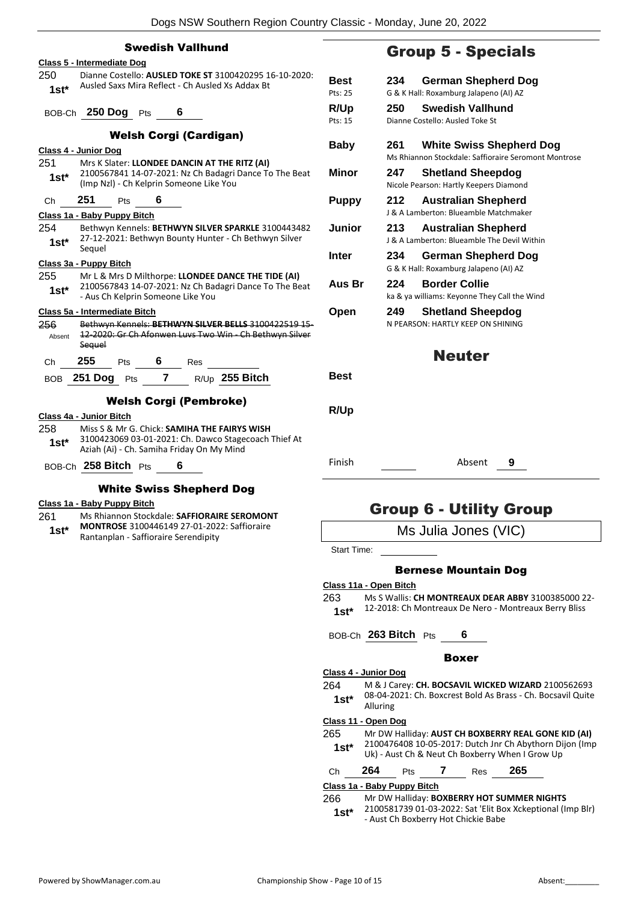| <b>Swedish Vallhund</b>                                                                                      |                 |
|--------------------------------------------------------------------------------------------------------------|-----------------|
| Class 5 - Intermediate Dog                                                                                   |                 |
| Dianne Costello: AUSLED TOKE ST 3100420295 16-10-2020:<br>250                                                | Best            |
| Ausled Saxs Mira Reflect - Ch Ausled Xs Addax Bt<br>$1st*$                                                   | Pts: 25         |
|                                                                                                              |                 |
| BOB-Ch 250 Dog Pts 6                                                                                         | R/Up<br>Pts: 15 |
| <b>Welsh Corgi (Cardigan)</b>                                                                                |                 |
| Class 4 - Junior Dog                                                                                         | <b>Baby</b>     |
| Mrs K Slater: LLONDEE DANCIN AT THE RITZ (AI)<br>251                                                         |                 |
| 2100567841 14-07-2021: Nz Ch Badagri Dance To The Beat<br>$1st^*$<br>(Imp Nzl) - Ch Kelprin Someone Like You | Minor           |
| 251<br>Pts 6<br>Сh                                                                                           | Pupp            |
| Class 1a - Baby Puppy Bitch                                                                                  |                 |
| 254<br>Bethwyn Kennels: BETHWYN SILVER SPARKLE 3100443482                                                    | Junio           |
| 27-12-2021: Bethwyn Bounty Hunter - Ch Bethwyn Silver<br>$1st*$<br>Sequel                                    |                 |
|                                                                                                              | <b>Inter</b>    |
| Class 3a - Puppy Bitch<br>Mr L & Mrs D Milthorpe: LLONDEE DANCE THE TIDE (AI)<br>255                         |                 |
| 2100567843 14-07-2021: Nz Ch Badagri Dance To The Beat                                                       | Aus E           |
| $1st^*$<br>- Aus Ch Kelprin Someone Like You                                                                 |                 |
| Class 5a - Intermediate Bitch                                                                                | Open            |
| Bethwyn Kennels: BETHWYN SILVER BELLS 3100422519 15-<br>256                                                  |                 |
| 12-2020: Gr Ch Afonwen Luvs Two Win - Ch Bethwyn Silver<br>Absent                                            |                 |
| Sequel                                                                                                       |                 |
| <b>255</b> Pts $\mathbf{6}$ Res $\_\_$<br>Ch                                                                 |                 |
| BOB 251 Dog Pts 7 R/Up 255 Bitch                                                                             | Best            |
| <b>Welsh Corgi (Pembroke)</b>                                                                                |                 |
| Class 4a - Junior Bitch                                                                                      | R/Up            |
| Miss S & Mr G. Chick: SAMIHA THE FAIRYS WISH<br>258                                                          |                 |
| 3100423069 03-01-2021: Ch. Dawco Stagecoach Thief At<br>$1st^*$<br>Aziah (Ai) - Ch. Samiha Friday On My Mind |                 |
| BOB-Ch 258 Bitch Pts 6                                                                                       | Finish          |
|                                                                                                              |                 |
| <b>White Swiss Shepherd Dog</b>                                                                              |                 |

#### **Class 1a - Baby Puppy Bitch**

- 261 Ms Rhiannon Stockdale: **SAFFIORAIRE SEROMONT**
- **MONTROSE** 3100446149 27-01-2022: Saffioraire 1st\* **MONTROSE** 3100446149 27-01-202<br>Rantanplan - Saffioraire Serendipity

### Group 5 - Specials

| Best         | 234<br>German Shepherd Dog                           |
|--------------|------------------------------------------------------|
| Pts: 25      | G & K Hall: Roxamburg Jalapeno (AI) AZ               |
| <b>R/Up</b>  | <b>Swedish Vallhund</b><br>250                       |
| Pts: 15      | Dianne Costello: Ausled Toke St                      |
| Baby         | 261<br><b>White Swiss Shepherd Dog</b>               |
|              | Ms Rhiannon Stockdale: Saffioraire Seromont Montrose |
| <b>Minor</b> | <b>Shetland Sheepdog</b><br>247                      |
|              | Nicole Pearson: Hartly Keepers Diamond               |
| <b>Puppy</b> | 212<br><b>Australian Shepherd</b>                    |
|              | J & A Lamberton: Blueamble Matchmaker                |
| Junior       | 213<br><b>Australian Shepherd</b>                    |
|              | J & A Lamberton: Blueamble The Devil Within          |
| Inter        | 234<br>German Shepherd Dog                           |
|              | G & K Hall: Roxamburg Jalapeno (AI) AZ               |
| Aus Br       | <b>Border Collie</b><br>224                          |
|              | ka & ya williams: Keyonne They Call the Wind         |
| Open         | <b>Shetland Sheepdog</b><br>249                      |
|              | N PEARSON: HARTLY KEEP ON SHINING                    |
|              |                                                      |
|              | <b>Neuter</b>                                        |
| <b>Best</b>  |                                                      |
|              |                                                      |
|              |                                                      |
| R/Up         |                                                      |
|              |                                                      |
|              |                                                      |
| Finish       | Absent<br>9                                          |
|              |                                                      |

### Group 6 - Utility Group

Ms Julia Jones (VIC)

Start Time:

#### Bernese Mountain Dog

#### **Class 11a - Open Bitch**

263 Ms S Wallis: **CH MONTREAUX DEAR ABBY** 3100385000 22- 1st\* 12-2018: Ch Montreaux De Nero - Montreaux Berry Bliss

BOB-Ch **263 Bitch** Pts **6**

#### Boxer

| Class 4 - Junior Dog |  |  |  |
|----------------------|--|--|--|
|                      |  |  |  |

264 M & J Carey: **CH. BOCSAVIL WICKED WIZARD** 2100562693 08-04-2021: Ch. Boxcrest Bold As Brass - Ch. Bocsavil Quite Alluring **1st\***

#### **Class 11 - Open Dog**

| 265    | Mr DW Halliday: AUST CH BOXBERRY REAL GONE KID (AI)     |
|--------|---------------------------------------------------------|
| $1st*$ | 2100476408 10-05-2017: Dutch Jnr Ch Abythorn Dijon (Imp |
|        | Uk) - Aust Ch & Neut Ch Boxberry When I Grow Up         |

| Ch | 264 | Ρts | Res | 265 |
|----|-----|-----|-----|-----|
|    |     |     |     |     |

#### **Class 1a - Baby Puppy Bitch**

266 Mr DW Halliday: **BOXBERRY HOT SUMMER NIGHTS** 2100581739 01-03-2022: Sat 'Elit Box Xckeptional (Imp Blr)

- Aust Ch Boxberry Hot Chickie Babe **1st\***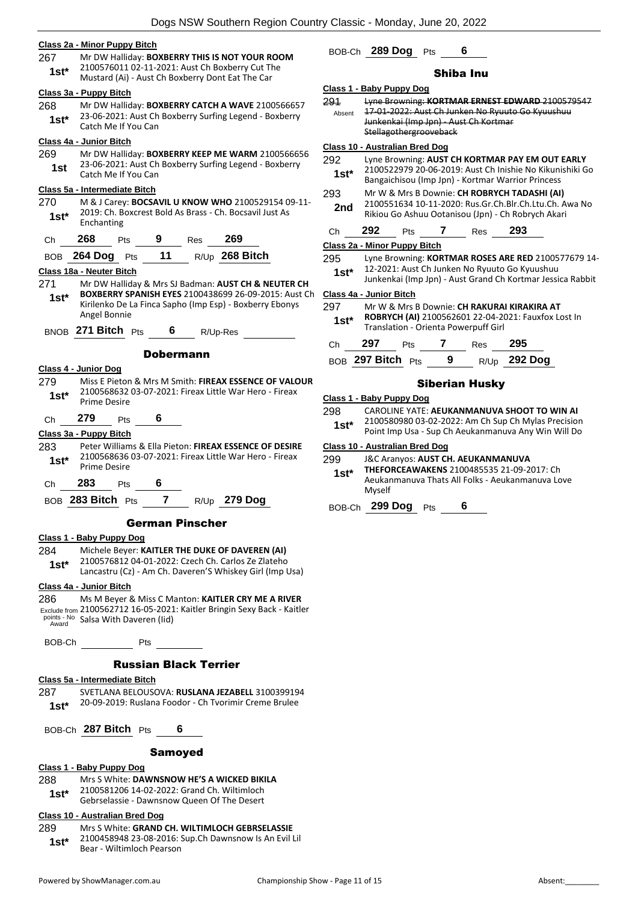#### **Class 2a - Minor Puppy Bitch**

267 Mr DW Halliday: **BOXBERRY THIS IS NOT YOUR ROOM** 2100576011 02-11-2021: Aust Ch Boxberry Cut The Mustard (Ai) - Aust Ch Boxberry Dont Eat The Car **1st\***

#### **Class 3a - Puppy Bitch**

268 Mr DW Halliday: **BOXBERRY CATCH A WAVE** 2100566657 23-06-2021: Aust Ch Boxberry Surfing Legend - Boxberry **1st** 25-00-2021. Aust Cl

#### **Class 4a - Junior Bitch**

269 Mr DW Halliday: **BOXBERRY KEEP ME WARM** 2100566656 23-06-2021: Aust Ch Boxberry Surfing Legend - Boxberry **1st** <sup>23-06-2021: Aust Ch<br>Catch Me If You Can</sup>

#### **Class 5a - Intermediate Bitch**

270 M & J Carey: **BOCSAVIL U KNOW WHO** 2100529154 09-11- 2019: Ch. Boxcrest Bold As Brass - Ch. Bocsavil Just As 1st<sup>\*</sup> <sup>2019: Ch. B</sup><br>Enchanting

| 269<br>268<br>9<br>Res<br>Ch |  |
|------------------------------|--|
|------------------------------|--|

|  | BOB 264 Dog Pts |  | 11 |  | $R/Up$ 268 Bitch |
|--|-----------------|--|----|--|------------------|
|--|-----------------|--|----|--|------------------|

#### **Class 18a - Neuter Bitch**

- 271 Mr DW Halliday & Mrs SJ Badman: **AUST CH & NEUTER CH BOXBERRY SPANISH EYES** 2100438699 26-09-2015: Aust Ch Kirilenko De La Finca Sapho (Imp Esp) - Boxberry Ebonys **1st\***
- Angel Bonnie

BNOB **271 Bitch** Pts **6** R/Up-Res

#### Dobermann

#### **Class 4 - Junior Dog**

279 Miss E Pieton & Mrs M Smith: **FIREAX ESSENCE OF VALOUR** 2100568632 03-07-2021: Fireax Little War Hero - Fireax Prime Desire **1st\***

Ch **279** Pts **6**

#### **Class 3a - Puppy Bitch**

- 283 Peter Williams & Ella Pieton: **FIREAX ESSENCE OF DESIRE** 2100568636 03-07-2021: Fireax Little War Hero - Fireax Prime Desire **1st\***
- Ch **283** Pts **6**
- BOB **283 Bitch** Pts **7** R/Up **279 Dog**

#### German Pinscher

#### **Class 1 - Baby Puppy Dog**

- 284 Michele Beyer: **KAITLER THE DUKE OF DAVEREN (AI)**
- 2100576812 04-01-2022: Czech Ch. Carlos Ze Zlateho Lancastru (Cz) - Am Ch. Daveren'S Whiskey Girl (Imp Usa) **1st\***

#### **Class 4a - Junior Bitch**

286 Ms M Beyer & Miss C Manton: **KAITLER CRY ME A RIVER** Exclude from 2100562712 16-05-2021: Kaitler Bringin Sexy Back - Kaitler points - No Salsa With Daveren (lid) Award

BOB-Ch Pts

#### Russian Black Terrier

#### **Class 5a - Intermediate Bitch**

287 SVETLANA BELOUSOVA: **RUSLANA JEZABELL** 3100399194 20-09-2019: Ruslana Foodor - Ch Tvorimir Creme Brulee **1st\***

BOB-Ch **287 Bitch** Pts **6**

#### Samoyed

#### **Class 1 - Baby Puppy Dog**

- 288 Mrs S White: **DAWNSNOW HE'S A WICKED BIKILA**
- 2100581206 14-02-2022: Grand Ch. Wiltimloch Gebrselassie - Dawnsnow Queen Of The Desert **1st\***
- 

#### **Class 10 - Australian Bred Dog**

- 289 Mrs S White: **GRAND CH. WILTIMLOCH GEBRSELASSIE**
	- 2100458948 23-08-2016: Sup.Ch Dawnsnow Is An Evil Lil Bear - Wiltimloch Pearson **1st\***

### BOB-Ch **289 Dog** Pts **6**

#### Shiba Inu

**Class 1 - Baby Puppy Dog** 291 Lyne Browning: **KORTMAR ERNEST EDWARD** 2100579547 17-01-2022: Aust Ch Junken No Ryuuto Go Kyuushuu Junkenkai (Imp Jpn) - Aust Ch Kortmar Stellagothergrooveback Absent **Class 10 - Australian Bred Dog** 292 Lyne Browning: **AUST CH KORTMAR PAY EM OUT EARLY** 2100522979 20-06-2019: Aust Ch Inishie No Kikunishiki Go Bangaichisou (Imp Jpn) - Kortmar Warrior Princess **1st\*** 293 Mr W & Mrs B Downie: **CH ROBRYCH TADASHI (AI)** 2100551634 10-11-2020: Rus.Gr.Ch.Blr.Ch.Ltu.Ch. Awa No Rikiou Go Ashuu Ootanisou (Jpn) - Ch Robrych Akari **2nd** Ch **292** Pts **7** Res **293 Class 2a - Minor Puppy Bitch** 295 Lyne Browning: **KORTMAR ROSES ARE RED** 2100577679 14- 12-2021: Aust Ch Junken No Ryuuto Go Kyuushuu Junkenkai (Imp Jpn) - Aust Grand Ch Kortmar Jessica Rabbit **1st\* Class 4a - Junior Bitch** 297 Mr W & Mrs B Downie: **CH RAKURAI KIRAKIRA AT ROBRYCH (AI)** 2100562601 22-04-2021: Fauxfox Lost In **1st\* KUBKTUH (AI)** 2100502001 22-04-20<br>Translation - Orienta Powerpuff Girl

|    | <u>Hansiation Onchta Powcipan Oili</u> |            |   |     |              |  |  |
|----|----------------------------------------|------------|---|-----|--------------|--|--|
| Ch | 297                                    | <b>Pts</b> |   | Res | 295          |  |  |
|    | BOB 297 Bitch Pts                      |            | 9 |     | R/Up 292 Dog |  |  |

#### Siberian Husky

- **Class 1 - Baby Puppy Dog**
- 298 CAROLINE YATE: **AEUKANMANUVA SHOOT TO WIN AI**
- 2100580980 03-02-2022: Am Ch Sup Ch Mylas Precision Point Imp Usa - Sup Ch Aeukanmanuva Any Win Will Do **1st\***

#### **Class 10 - Australian Bred Dog**

- 299 J&C Aranyos: **AUST CH. AEUKANMANUVA** 
	- **THEFORCEAWAKENS** 2100485535 21-09-2017: Ch Aeukanmanuva Thats All Folks - Aeukanmanuva Love Myself **1st\***

BOB-Ch **299 Dog** Pts **6**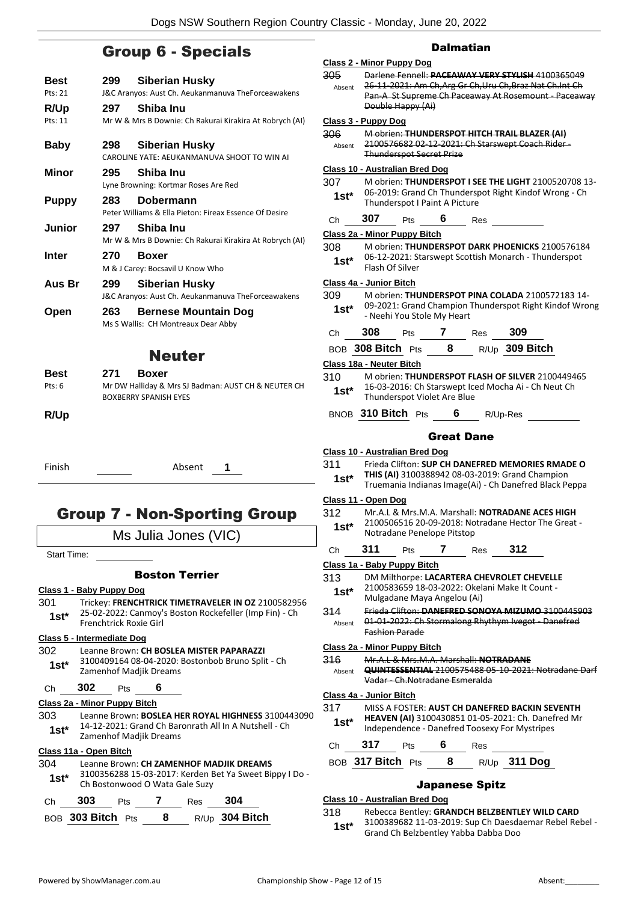### Group 6 - Specials

| Best         | 299 | Siberian Husky                                                       |
|--------------|-----|----------------------------------------------------------------------|
| Pts: 21      |     | J&C Aranyos: Aust Ch. Aeukanmanuva TheForceawakens                   |
| R/Up         | 297 | Shiba Inu                                                            |
| Pts: 11      |     | Mr W & Mrs B Downie: Ch Rakurai Kirakira At Robrych (AI)             |
|              |     |                                                                      |
| <b>Baby</b>  | 298 | <b>Siberian Husky</b><br>CAROLINE YATE: AEUKANMANUVA SHOOT TO WIN AI |
|              |     |                                                                      |
| Minor        | 295 | Shiba Inu                                                            |
|              |     | Lyne Browning: Kortmar Roses Are Red                                 |
| <b>Puppy</b> | 283 | Dobermann                                                            |
|              |     | Peter Williams & Ella Pieton: Fireax Essence Of Desire               |
| Junior       |     | 297 Shiba Inu                                                        |
|              |     | Mr W & Mrs B Downie: Ch Rakurai Kirakira At Robrych (AI)             |
| Inter        | 270 | <b>Boxer</b>                                                         |
|              |     | M & J Carey: Bocsavil U Know Who                                     |
|              |     | Siberian Husky                                                       |
|              |     |                                                                      |
| Aus Br       | 299 | J&C Aranyos: Aust Ch. Aeukanmanuva TheForceawakens                   |
|              | 263 |                                                                      |
| Open         |     | <b>Bernese Mountain Dog</b><br>Ms S Wallis: CH Montreaux Dear Abby   |
|              |     |                                                                      |
|              |     | <b>Neuter</b>                                                        |
| <b>Best</b>  | 271 | <b>Boxer</b>                                                         |
| Pts: 6       |     | Mr DW Halliday & Mrs SJ Badman: AUST CH & NEUTER CH                  |
|              |     | <b>BOXBERRY SPANISH EYES</b>                                         |
| <b>R/Up</b>  |     |                                                                      |

Finish Absent **1**

### Group 7 - Non-Sporting Group

Ms Julia Jones (VIC)

Start Time:

#### Boston Terrier

#### **Class 1 - Baby Puppy Dog**

301 Trickey: **FRENCHTRICK TIMETRAVELER IN OZ** 2100582956 25-02-2022: Canmoy's Boston Rockefeller (Imp Fin) - Ch Frenchtrick Roxie Girl **1st\***

#### **Class 5 - Intermediate Dog**

#### 302 Leanne Brown: **CH BOSLEA MISTER PAPARAZZI**

3100409164 08-04-2020: Bostonbob Bruno Split - Ch **1st**\* 3100409164 08-04-2020:<br>Zamenhof Madjik Dreams

### Ch **302** Pts **6**

- **Class 2a - Minor Puppy Bitch**
- 303 Leanne Brown: **BOSLEA HER ROYAL HIGHNESS** 3100443090 14-12-2021: Grand Ch Baronrath All In A Nutshell - Ch Zamenhof Madjik Dreams **1st\***

#### **Class 11a - Open Bitch**

#### 304 Leanne Brown: **CH ZAMENHOF MADJIK DREAMS** 3100356288 15-03-2017: Kerden Bet Ya Sweet Bippy I Do -

1st\* 3100356288 15-03-2017: Kerden E<br>Ch Bostonwood O Wata Gale Suzy

| Ch. | 303               | <b>Pts</b> | Res | -304             |
|-----|-------------------|------------|-----|------------------|
|     | BOB 303 Bitch Pts |            |     | $R/Up$ 304 Bitch |

#### Dalmatian

|         | Class 2 - Minor Puppy Dog                                                                                |
|---------|----------------------------------------------------------------------------------------------------------|
| 305     | Darlene Fennell: PACEAWAY VERY STYLISH 4100365049                                                        |
| Absent  | 26-11-2021: Am Ch, Arg Gr Ch, Uru Ch, Braz Nat Ch. Int Ch                                                |
|         | Pan-A St Supreme Ch Paceaway At Rosemount - Paceaway                                                     |
|         | Double Happy (Ai)                                                                                        |
|         | <b>Class 3 - Puppy Dog</b>                                                                               |
| 306     | M obrien: THUNDERSPOT HITCH TRAIL BLAZER (AI)                                                            |
| Absent  | 2100576682 02 12 2021: Ch Starswept Coach Rider-                                                         |
|         | <b>Thunderspot Secret Prize</b>                                                                          |
|         | Class 10 - Australian Bred Dog                                                                           |
| 307     | M obrien: THUNDERSPOT I SEE THE LIGHT 2100520708 13-                                                     |
| $1st^*$ | 06-2019: Grand Ch Thunderspot Right Kindof Wrong - Ch                                                    |
|         | Thunderspot I Paint A Picture                                                                            |
| Сh      | 307<br>6<br>Pts<br>Res                                                                                   |
|         |                                                                                                          |
|         | Class 2a - Minor Puppy Bitch                                                                             |
| 308     | M obrien: THUNDERSPOT DARK PHOENICKS 2100576184                                                          |
| $1st*$  | 06-12-2021: Starswept Scottish Monarch - Thunderspot<br>Flash Of Silver                                  |
|         |                                                                                                          |
|         | Class 4a - Junior Bitch                                                                                  |
| 309     | M obrien: THUNDERSPOT PINA COLADA 2100572183 14-                                                         |
| 1st*    | 09-2021: Grand Champion Thunderspot Right Kindof Wrong<br>- Neehi You Stole My Heart                     |
|         |                                                                                                          |
| Ch      | 308<br><b>7</b> Res<br>309<br>Pts                                                                        |
|         | R/Up 309 Bitch<br>BOB 308 Bitch Pts 8                                                                    |
|         |                                                                                                          |
|         | Class 18a - Neuter Bitch                                                                                 |
| 310     | M obrien: THUNDERSPOT FLASH OF SILVER 2100449465                                                         |
| $1st^*$ | 16-03-2016: Ch Starswept Iced Mocha Ai - Ch Neut Ch<br>Thunderspot Violet Are Blue                       |
|         |                                                                                                          |
|         | BNOB 310 Bitch Pts<br>6<br>R/Up-Res                                                                      |
|         |                                                                                                          |
|         | <b>Great Dane</b>                                                                                        |
|         |                                                                                                          |
|         | <b>Class 10 - Australian Bred Dog</b>                                                                    |
| 311     | Frieda Clifton: SUP CH DANEFRED MEMORIES RMADE O                                                         |
| $1st*$  | THIS (AI) 3100388942 08-03-2019: Grand Champion                                                          |
|         | Truemania Indianas Image(Ai) - Ch Danefred Black Peppa                                                   |
|         | Class 11 - Open Dog                                                                                      |
| 312     | Mr.A.L & Mrs.M.A. Marshall: NOTRADANE ACES HIGH                                                          |
|         | 2100506516 20-09-2018: Notradane Hector The Great -                                                      |
| $1st*$  | Notradane Penelope Pitstop                                                                               |
|         | 311<br>7<br>312                                                                                          |
| Сh      | Pts<br>Res                                                                                               |
|         | Class 1a - Baby Puppy Bitch                                                                              |
| 313     | DM Milthorpe: LACARTERA CHEVROLET CHEVELLE                                                               |
| 1st*    | 2100583659 18-03-2022: Okelani Make It Count -                                                           |
|         | Mulgadane Maya Angelou (Ai)                                                                              |
| 314     | Frieda Clifton: DANEFRED SONOYA MIZUMO 3100445903                                                        |
| Absent  | 01 01 2022: Ch Stormalong Rhythym Ivegot Danefred<br><b>Fashion Parade</b>                               |
|         |                                                                                                          |
|         | <b>Class 2a - Minor Puppy Bitch</b>                                                                      |
| 316     | Mr.A.L & Mrs.M.A. Marshall: NOTRADANE                                                                    |
| Absent  | <b>QUINTESSENTIAL</b> 2100575488 05-10-2021: Notradane Darf<br><del>Vadar - Ch.Notradane Esmeralda</del> |
|         |                                                                                                          |
|         | Class 4a - Junior Bitch                                                                                  |
| 317     | MISS A FOSTER: AUST CH DANEFRED BACKIN SEVENTH                                                           |
| 1st*    | <b>HEAVEN (AI) 3100430851 01-05-2021: Ch. Danefred Mr</b>                                                |
|         | Independence - Danefred Toosexy For Mystripes                                                            |
| Сh      | 317<br>6<br>Pts<br>Res                                                                                   |
|         | BOB 317 Bitch Pts<br>R/Up 311 Dog<br>8                                                                   |

#### Japanese Spitz

#### **Class 10 - Australian Bred Dog**

#### 318 Rebecca Bentley: **GRANDCH BELZBENTLEY WILD CARD**

3100389682 11-03-2019: Sup Ch Daesdaemar Rebel Rebel - Grand Ch Belzbentley Yabba Dabba Doo **1st\***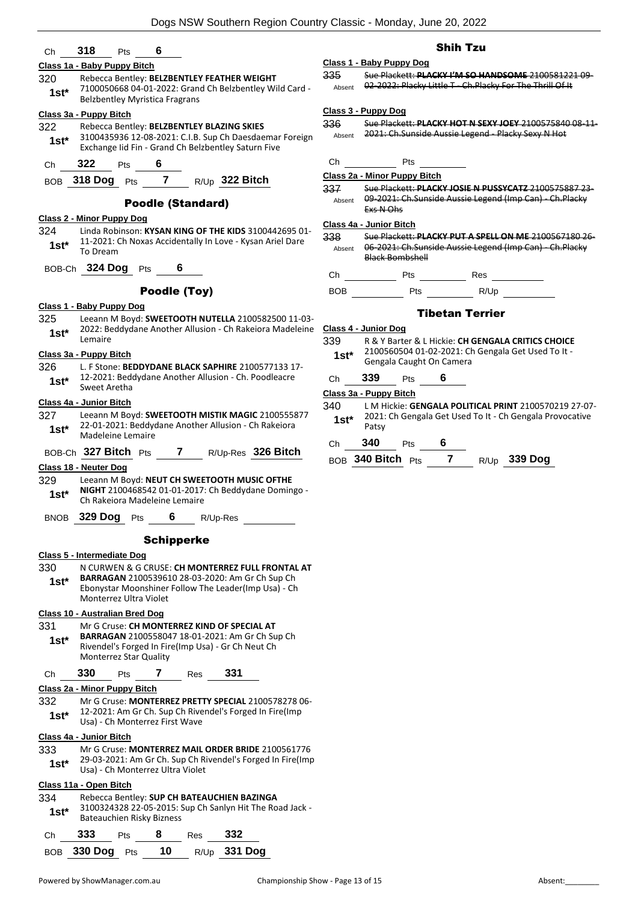#### Ch **318** Pts **6**

#### **Class 1a - Baby Puppy Bitch**

- 320 Rebecca Bentley: **BELZBENTLEY FEATHER WEIGHT**
	- 7100050668 04-01-2022: Grand Ch Belzbentley Wild Card Belzbentley Myristica Fragrans **1st\***

#### **Class 3a - Puppy Bitch**

- 322 Rebecca Bentley: **BELZBENTLEY BLAZING SKIES** 3100435936 12-08-2021: C.I.B. Sup Ch Daesdaemar Foreign Exchange Iid Fin - Grand Ch Belzbentley Saturn Five **1st\***
- Ch **322** Pts **6**
- BOB **318 Dog** Pts **7** R/Up **322 Bitch**

#### Poodle (Standard)

#### **Class 2 - Minor Puppy Dog**

324 Linda Robinson: **KYSAN KING OF THE KIDS** 3100442695 01- 11-2021: Ch Noxas Accidentally In Love - Kysan Ariel Dare **1st**\* **11-2021:** 

BOB-Ch **324 Dog** Pts **6**

#### Poodle (Toy)

#### **Class 1 - Baby Puppy Dog**

325 Leeann M Boyd: **SWEETOOTH NUTELLA** 2100582500 11-03- 2022: Beddydane Another Allusion - Ch Rakeiora Madeleine 1st<sup>\*</sup> <sup>2022: 86</sup><br>Lemaire

#### **Class 3a - Puppy Bitch**

326 L. F Stone: **BEDDYDANE BLACK SAPHIRE** 2100577133 17- 12-2021: Beddydane Another Allusion - Ch. Poodleacre **1st**\* **14-4021: Bed**<br>Sweet Aretha

#### **Class 4a - Junior Bitch**

- 327 Leeann M Boyd: **SWEETOOTH MISTIK MAGIC** 2100555877 22-01-2021: Beddydane Another Allusion - Ch Rakeiora 1st\* <sup>22-01-2021: Beaay</sup>
- BOB-Ch **327 Bitch** Pts **7** R/Up-Res **326 Bitch**

#### **Class 18 - Neuter Dog**

- 329 Leeann M Boyd: **NEUT CH SWEETOOTH MUSIC OFTHE**
- **NIGHT** 2100468542 01-01-2017: Ch Beddydane Domingo **1st\* NIGHT** 2100468542 01-01-2017<br>Ch Rakeiora Madeleine Lemaire
- BNOB **329 Dog** Pts **6** R/Up-Res

#### **Schipperke**

#### **Class 5 - Intermediate Dog**

330 N CURWEN & G CRUSE: **CH MONTERREZ FULL FRONTAL AT BARRAGAN** 2100539610 28-03-2020: Am Gr Ch Sup Ch Ebonystar Moonshiner Follow The Leader(Imp Usa) - Ch Monterrez Ultra Violet **1st\***

#### **Class 10 - Australian Bred Dog**

331 Mr G Cruse: **CH MONTERREZ KIND OF SPECIAL AT BARRAGAN** 2100558047 18-01-2021: Am Gr Ch Sup Ch Rivendel's Forged In Fire(Imp Usa) - Gr Ch Neut Ch Monterrez Star Quality **1st\***

#### Ch **330** Pts **7** Res **331**

#### **Class 2a - Minor Puppy Bitch**

332 Mr G Cruse: **MONTERREZ PRETTY SPECIAL** 2100578278 06- 12-2021: Am Gr Ch. Sup Ch Rivendel's Forged In Fire(Imp **1st**\* 12-2021: Am Gr Ch. Sup Ch Rive<br>Usa) - Ch Monterrez First Wave

#### **Class 4a - Junior Bitch**

#### 333 Mr G Cruse: **MONTERREZ MAIL ORDER BRIDE** 2100561776

29-03-2021: Am Gr Ch. Sup Ch Rivendel's Forged In Fire(Imp Usa) - Ch Monterrez Ultra Violet **1st\***

#### **Class 11a - Open Bitch**

| 334<br>$1st*$ |             |            | Bateauchien Risky Bizness |     | Rebecca Bentley: SUP CH BATEAUCHIEN BAZINGA<br>3100324328 22-05-2015: Sup Ch Sanlyn Hit The Road Jack - |
|---------------|-------------|------------|---------------------------|-----|---------------------------------------------------------------------------------------------------------|
| Ch            | 333         | <b>Pts</b> | 8                         | Res | 332                                                                                                     |
|               | BOB 330 Dog | Pts        | 10                        |     | R/Up 331 Dog                                                                                            |

#### Shih Tzu

**Class 1 - Baby Puppy Dog** 335 Sue Plackett: **PLACKY I'M SO HANDSOME** 2100581221 09- Absent 02-2022: Placky Little T - Ch. Placky For The Thrill Of It

#### **Class 3 - Puppy Dog**

- 336 Sue Plackett: **PLACKY HOT N SEXY JOEY** 2100575840 08-11- Absent 2021: Ch.Sunside Aussie Legend - Placky Sexy N Hot
- Ch Pts
- **Class 2a - Minor Puppy Bitch**

337 Sue Plackett: **PLACKY JOSIE N PUSSYCATZ** 2100575887 23- 09-2021: Ch.Sunside Aussie Legend (Imp Can) - Ch.Placky Exs N Ohs Absent

#### **Class 4a - Junior Bitch**

- 338 Sue Plackett: **PLACKY PUT A SPELL ON ME** 2100567180 26- 06-2021: Ch.Sunside Aussie Legend (Imp Can) - Ch.Placky Black Bombshell Absent
- Ch Pts Res
- BOB Pts R/Up

#### Tibetan Terrier

#### **Class 4 - Junior Dog**

- 339 R & Y Barter & L Hickie: **CH GENGALA CRITICS CHOICE** 2100560504 01-02-2021: Ch Gengala Get Used To It -
- 1st\* 2100560504 01-02-2021: Cl<br>Gengala Caught On Camera
- Ch **339** Pts **6**

#### **Class 3a - Puppy Bitch**

- 340 L M Hickie: **GENGALA POLITICAL PRINT** 2100570219 27-07- 2021: Ch Gengala Get Used To It - Ch Gengala Provocative Patsy **1st\***
- Ch **340** Pts **6**
- BOB **340 Bitch** Pts **7** R/Up **339 Dog**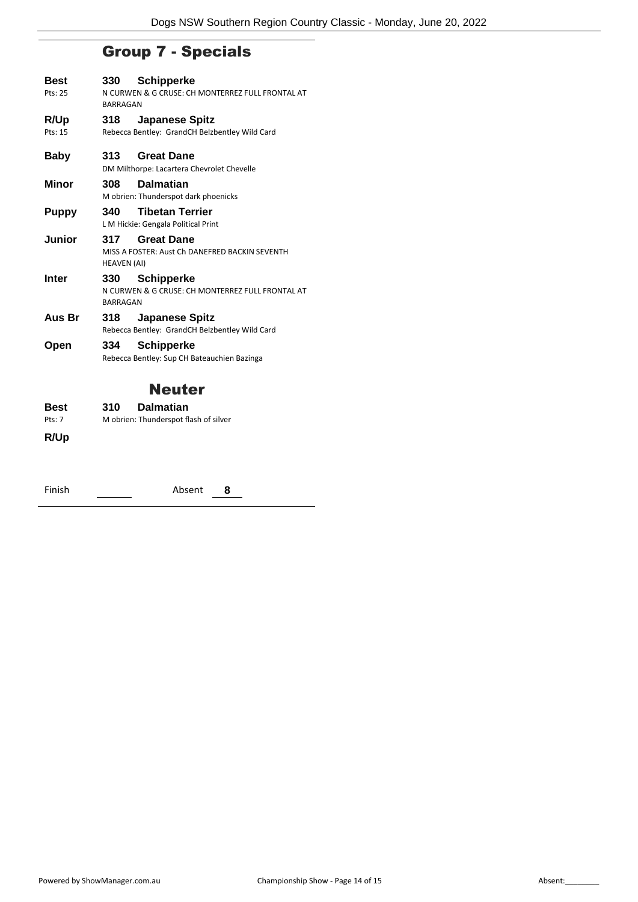### Group 7 - Specials

| Best<br>Pts: 25 | 330                                | <b>Schipperke</b><br>N CURWEN & G CRUSE: CH MONTERREZ FULL FRONTAL AT   |  |  |
|-----------------|------------------------------------|-------------------------------------------------------------------------|--|--|
|                 | <b>BARRAGAN</b>                    |                                                                         |  |  |
| R/Up            | 318                                | <b>Japanese Spitz</b>                                                   |  |  |
| Pts: 15         |                                    | Rebecca Bentley: GrandCH Belzbentley Wild Card                          |  |  |
| Baby            | 313.                               | <b>Great Dane</b><br>DM Milthorpe: Lacartera Chevrolet Chevelle         |  |  |
| Minor           | 308                                | <b>Dalmatian</b>                                                        |  |  |
|                 |                                    | M obrien: Thunderspot dark phoenicks                                    |  |  |
| <b>Puppy</b>    | 340                                | <b>Tibetan Terrier</b><br>L M Hickie: Gengala Political Print           |  |  |
| Junior          | 317<br>HEAVEN (AI)                 | <b>Great Dane</b><br>MISS A FOSTER: Aust Ch DANEFRED BACKIN SEVENTH     |  |  |
| Inter           | 330 <b>Sand</b><br><b>BARRAGAN</b> | <b>Schipperke</b><br>N CURWEN & G CRUSE: CH MONTERREZ FULL FRONTAL AT   |  |  |
| Aus Br          | 318                                | <b>Japanese Spitz</b><br>Rebecca Bentley: GrandCH Belzbentley Wild Card |  |  |
| Open            | 334                                | <b>Schipperke</b>                                                       |  |  |
|                 |                                    | Rebecca Bentley: Sup CH Bateauchien Bazinga                             |  |  |
|                 |                                    | Neuter                                                                  |  |  |
| Best            | 310                                | <b>Dalmatian</b>                                                        |  |  |

Pts: 7 M obrien: Thunderspot flash of silver

**R/Up**

| Finish | Absent | 8 |
|--------|--------|---|
|        |        |   |